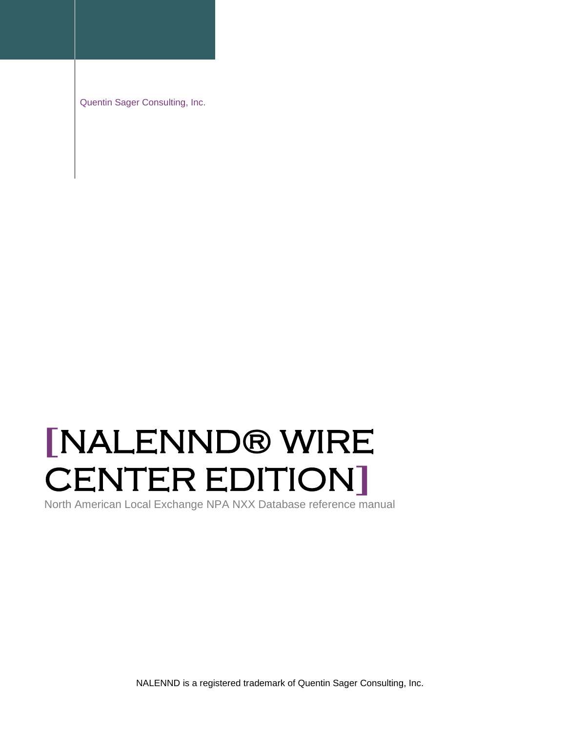Quentin Sager Consulting, Inc.

# **[**NALENND® WIRE CENTER EDITION**]**

North American Local Exchange NPA NXX Database reference manual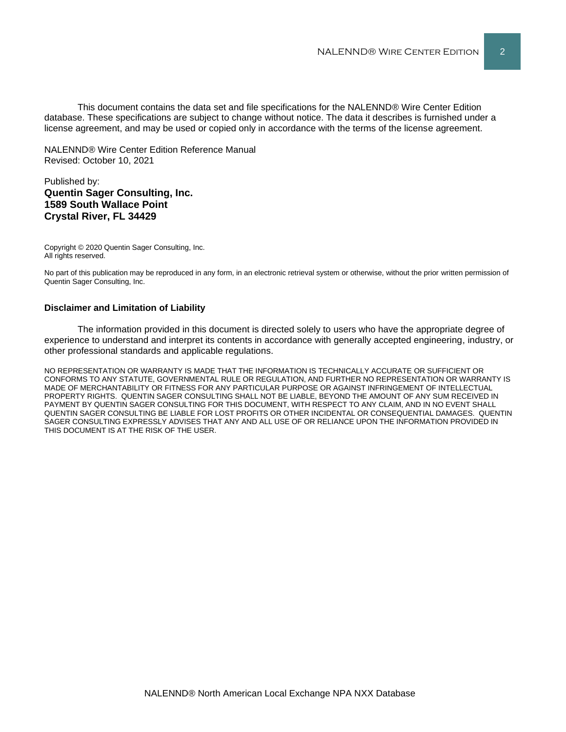This document contains the data set and file specifications for the NALENND® Wire Center Edition database. These specifications are subject to change without notice. The data it describes is furnished under a license agreement, and may be used or copied only in accordance with the terms of the license agreement.

NALENND® Wire Center Edition Reference Manual Revised: October 10, 2021

#### Published by: **Quentin Sager Consulting, Inc. 1589 South Wallace Point Crystal River, FL 34429**

Copyright © 2020 Quentin Sager Consulting, Inc. All rights reserved.

No part of this publication may be reproduced in any form, in an electronic retrieval system or otherwise, without the prior written permission of Quentin Sager Consulting, Inc.

#### **Disclaimer and Limitation of Liability**

The information provided in this document is directed solely to users who have the appropriate degree of experience to understand and interpret its contents in accordance with generally accepted engineering, industry, or other professional standards and applicable regulations.

NO REPRESENTATION OR WARRANTY IS MADE THAT THE INFORMATION IS TECHNICALLY ACCURATE OR SUFFICIENT OR CONFORMS TO ANY STATUTE, GOVERNMENTAL RULE OR REGULATION, AND FURTHER NO REPRESENTATION OR WARRANTY IS MADE OF MERCHANTABILITY OR FITNESS FOR ANY PARTICULAR PURPOSE OR AGAINST INFRINGEMENT OF INTELLECTUAL PROPERTY RIGHTS. QUENTIN SAGER CONSULTING SHALL NOT BE LIABLE, BEYOND THE AMOUNT OF ANY SUM RECEIVED IN PAYMENT BY QUENTIN SAGER CONSULTING FOR THIS DOCUMENT, WITH RESPECT TO ANY CLAIM, AND IN NO EVENT SHALL QUENTIN SAGER CONSULTING BE LIABLE FOR LOST PROFITS OR OTHER INCIDENTAL OR CONSEQUENTIAL DAMAGES. QUENTIN SAGER CONSULTING EXPRESSLY ADVISES THAT ANY AND ALL USE OF OR RELIANCE UPON THE INFORMATION PROVIDED IN THIS DOCUMENT IS AT THE RISK OF THE USER.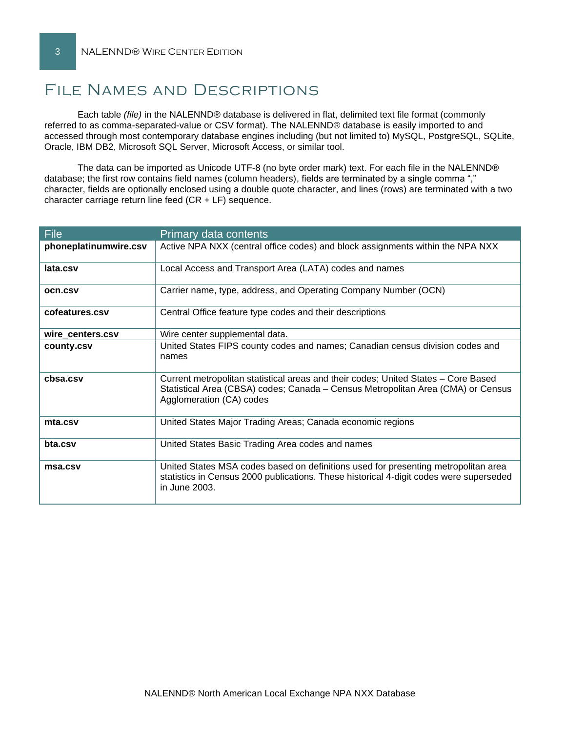# File Names and Descriptions

Each table *(file)* in the NALENND® database is delivered in flat, delimited text file format (commonly referred to as comma-separated-value or CSV format). The NALENND® database is easily imported to and accessed through most contemporary database engines including (but not limited to) MySQL, PostgreSQL, SQLite, Oracle, IBM DB2, Microsoft SQL Server, Microsoft Access, or similar tool.

The data can be imported as Unicode UTF-8 (no byte order mark) text. For each file in the NALENND® database; the first row contains field names (column headers), fields are terminated by a single comma "," character, fields are optionally enclosed using a double quote character, and lines (rows) are terminated with a two character carriage return line feed (CR + LF) sequence.

| <b>File</b>           | Primary data contents                                                                                                                                                                              |
|-----------------------|----------------------------------------------------------------------------------------------------------------------------------------------------------------------------------------------------|
| phoneplatinumwire.csv | Active NPA NXX (central office codes) and block assignments within the NPA NXX                                                                                                                     |
| lata.csv              | Local Access and Transport Area (LATA) codes and names                                                                                                                                             |
| <b>OCN.CSV</b>        | Carrier name, type, address, and Operating Company Number (OCN)                                                                                                                                    |
| cofeatures.csv        | Central Office feature type codes and their descriptions                                                                                                                                           |
| wire_centers.csv      | Wire center supplemental data.                                                                                                                                                                     |
| county.csv            | United States FIPS county codes and names; Canadian census division codes and<br>names                                                                                                             |
| cbsa.csv              | Current metropolitan statistical areas and their codes; United States – Core Based<br>Statistical Area (CBSA) codes; Canada - Census Metropolitan Area (CMA) or Census<br>Agglomeration (CA) codes |
| mta.csv               | United States Major Trading Areas; Canada economic regions                                                                                                                                         |
| bta.csv               | United States Basic Trading Area codes and names                                                                                                                                                   |
| msa.csv               | United States MSA codes based on definitions used for presenting metropolitan area<br>statistics in Census 2000 publications. These historical 4-digit codes were superseded<br>in June 2003.      |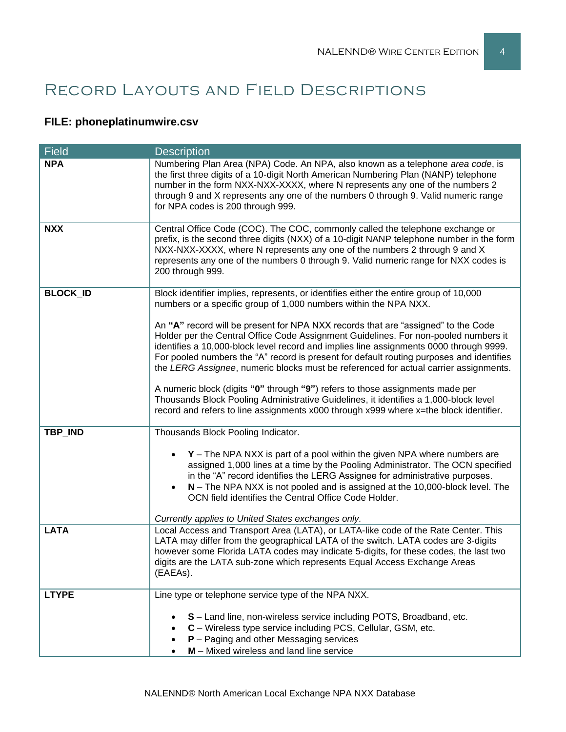# Record Layouts and Field Descriptions

# **FILE: phoneplatinumwire.csv**

| <b>Field</b>    | <b>Description</b>                                                                                                                                                                                                                                                                                                                                                                                                                                     |
|-----------------|--------------------------------------------------------------------------------------------------------------------------------------------------------------------------------------------------------------------------------------------------------------------------------------------------------------------------------------------------------------------------------------------------------------------------------------------------------|
| <b>NPA</b>      | Numbering Plan Area (NPA) Code. An NPA, also known as a telephone area code, is<br>the first three digits of a 10-digit North American Numbering Plan (NANP) telephone<br>number in the form NXX-NXX-XXXX, where N represents any one of the numbers 2<br>through 9 and X represents any one of the numbers 0 through 9. Valid numeric range<br>for NPA codes is 200 through 999.                                                                      |
| <b>NXX</b>      | Central Office Code (COC). The COC, commonly called the telephone exchange or<br>prefix, is the second three digits (NXX) of a 10-digit NANP telephone number in the form<br>NXX-NXX-XXXX, where N represents any one of the numbers 2 through 9 and X<br>represents any one of the numbers 0 through 9. Valid numeric range for NXX codes is<br>200 through 999.                                                                                      |
| <b>BLOCK_ID</b> | Block identifier implies, represents, or identifies either the entire group of 10,000<br>numbers or a specific group of 1,000 numbers within the NPA NXX.                                                                                                                                                                                                                                                                                              |
|                 | An "A" record will be present for NPA NXX records that are "assigned" to the Code<br>Holder per the Central Office Code Assignment Guidelines. For non-pooled numbers it<br>identifies a 10,000-block level record and implies line assignments 0000 through 9999.<br>For pooled numbers the "A" record is present for default routing purposes and identifies<br>the LERG Assignee, numeric blocks must be referenced for actual carrier assignments. |
|                 | A numeric block (digits "0" through "9") refers to those assignments made per<br>Thousands Block Pooling Administrative Guidelines, it identifies a 1,000-block level<br>record and refers to line assignments x000 through x999 where x=the block identifier.                                                                                                                                                                                         |
| TBP_IND         | Thousands Block Pooling Indicator.                                                                                                                                                                                                                                                                                                                                                                                                                     |
|                 | $Y$ – The NPA NXX is part of a pool within the given NPA where numbers are<br>$\bullet$<br>assigned 1,000 lines at a time by the Pooling Administrator. The OCN specified<br>in the "A" record identifies the LERG Assignee for administrative purposes.<br>$N$ – The NPA NXX is not pooled and is assigned at the 10,000-block level. The<br>OCN field identifies the Central Office Code Holder.                                                     |
|                 | Currently applies to United States exchanges only.                                                                                                                                                                                                                                                                                                                                                                                                     |
| <b>LATA</b>     | Local Access and Transport Area (LATA), or LATA-like code of the Rate Center. This<br>LATA may differ from the geographical LATA of the switch. LATA codes are 3-digits<br>however some Florida LATA codes may indicate 5-digits, for these codes, the last two<br>digits are the LATA sub-zone which represents Equal Access Exchange Areas<br>(EAEAs).                                                                                               |
| <b>LTYPE</b>    | Line type or telephone service type of the NPA NXX.                                                                                                                                                                                                                                                                                                                                                                                                    |
|                 | S - Land line, non-wireless service including POTS, Broadband, etc.<br>C - Wireless type service including PCS, Cellular, GSM, etc.<br>$P -$ Paging and other Messaging services<br>M - Mixed wireless and land line service                                                                                                                                                                                                                           |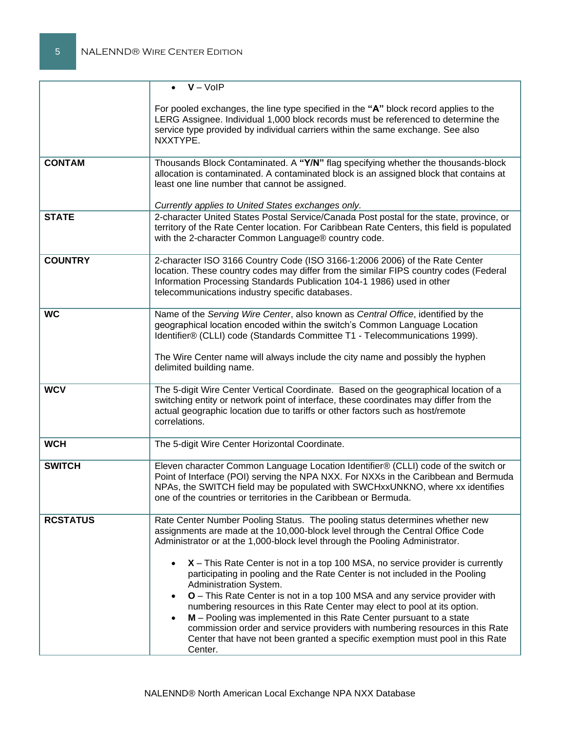|                 | $\bullet$ $V - VolP$                                                                                                                                                                                                                                                                                                                                                                                                                                                                                                                                                                                                                                                                                                                                                                                                                                            |
|-----------------|-----------------------------------------------------------------------------------------------------------------------------------------------------------------------------------------------------------------------------------------------------------------------------------------------------------------------------------------------------------------------------------------------------------------------------------------------------------------------------------------------------------------------------------------------------------------------------------------------------------------------------------------------------------------------------------------------------------------------------------------------------------------------------------------------------------------------------------------------------------------|
|                 | For pooled exchanges, the line type specified in the "A" block record applies to the<br>LERG Assignee. Individual 1,000 block records must be referenced to determine the<br>service type provided by individual carriers within the same exchange. See also<br>NXXTYPE.                                                                                                                                                                                                                                                                                                                                                                                                                                                                                                                                                                                        |
| <b>CONTAM</b>   | Thousands Block Contaminated. A "Y/N" flag specifying whether the thousands-block<br>allocation is contaminated. A contaminated block is an assigned block that contains at<br>least one line number that cannot be assigned.<br>Currently applies to United States exchanges only.                                                                                                                                                                                                                                                                                                                                                                                                                                                                                                                                                                             |
| <b>STATE</b>    | 2-character United States Postal Service/Canada Post postal for the state, province, or<br>territory of the Rate Center location. For Caribbean Rate Centers, this field is populated<br>with the 2-character Common Language® country code.                                                                                                                                                                                                                                                                                                                                                                                                                                                                                                                                                                                                                    |
| <b>COUNTRY</b>  | 2-character ISO 3166 Country Code (ISO 3166-1:2006 2006) of the Rate Center<br>location. These country codes may differ from the similar FIPS country codes (Federal<br>Information Processing Standards Publication 104-1 1986) used in other<br>telecommunications industry specific databases.                                                                                                                                                                                                                                                                                                                                                                                                                                                                                                                                                               |
| <b>WC</b>       | Name of the Serving Wire Center, also known as Central Office, identified by the<br>geographical location encoded within the switch's Common Language Location<br>Identifier® (CLLI) code (Standards Committee T1 - Telecommunications 1999).<br>The Wire Center name will always include the city name and possibly the hyphen<br>delimited building name.                                                                                                                                                                                                                                                                                                                                                                                                                                                                                                     |
| <b>WCV</b>      | The 5-digit Wire Center Vertical Coordinate. Based on the geographical location of a<br>switching entity or network point of interface, these coordinates may differ from the<br>actual geographic location due to tariffs or other factors such as host/remote<br>correlations.                                                                                                                                                                                                                                                                                                                                                                                                                                                                                                                                                                                |
| <b>WCH</b>      | The 5-digit Wire Center Horizontal Coordinate.                                                                                                                                                                                                                                                                                                                                                                                                                                                                                                                                                                                                                                                                                                                                                                                                                  |
| <b>SWITCH</b>   | Eleven character Common Language Location Identifier® (CLLI) code of the switch or<br>Point of Interface (POI) serving the NPA NXX. For NXXs in the Caribbean and Bermuda<br>NPAs, the SWITCH field may be populated with SWCHxxUNKNO, where xx identifies<br>one of the countries or territories in the Caribbean or Bermuda.                                                                                                                                                                                                                                                                                                                                                                                                                                                                                                                                  |
| <b>RCSTATUS</b> | Rate Center Number Pooling Status. The pooling status determines whether new<br>assignments are made at the 10,000-block level through the Central Office Code<br>Administrator or at the 1,000-block level through the Pooling Administrator.<br>$X$ – This Rate Center is not in a top 100 MSA, no service provider is currently<br>participating in pooling and the Rate Center is not included in the Pooling<br>Administration System.<br><b>O</b> – This Rate Center is not in a top 100 MSA and any service provider with<br>numbering resources in this Rate Center may elect to pool at its option.<br>M - Pooling was implemented in this Rate Center pursuant to a state<br>commission order and service providers with numbering resources in this Rate<br>Center that have not been granted a specific exemption must pool in this Rate<br>Center. |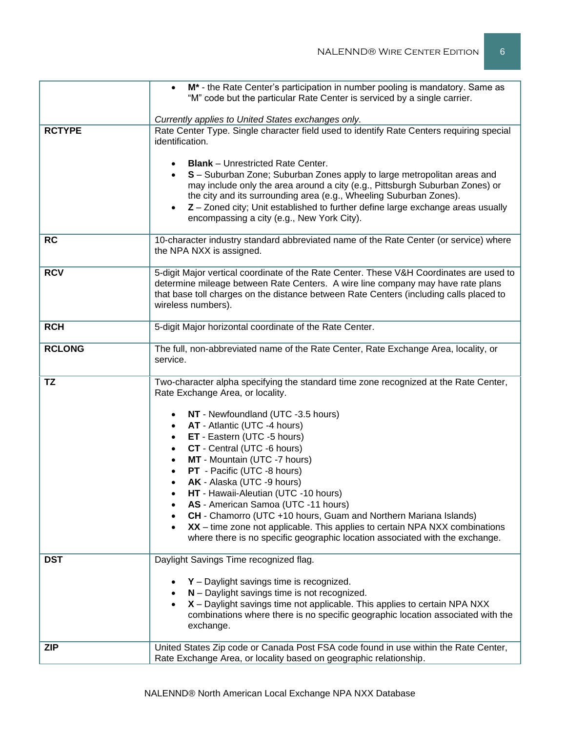|               | M <sup>*</sup> - the Rate Center's participation in number pooling is mandatory. Same as<br>"M" code but the particular Rate Center is serviced by a single carrier.                                                                                                                                                                                                                                       |
|---------------|------------------------------------------------------------------------------------------------------------------------------------------------------------------------------------------------------------------------------------------------------------------------------------------------------------------------------------------------------------------------------------------------------------|
|               | Currently applies to United States exchanges only.                                                                                                                                                                                                                                                                                                                                                         |
| <b>RCTYPE</b> | Rate Center Type. Single character field used to identify Rate Centers requiring special<br>identification.                                                                                                                                                                                                                                                                                                |
|               | <b>Blank</b> – Unrestricted Rate Center.<br>S - Suburban Zone; Suburban Zones apply to large metropolitan areas and<br>may include only the area around a city (e.g., Pittsburgh Suburban Zones) or<br>the city and its surrounding area (e.g., Wheeling Suburban Zones).<br>Z - Zoned city; Unit established to further define large exchange areas usually<br>encompassing a city (e.g., New York City). |
| <b>RC</b>     | 10-character industry standard abbreviated name of the Rate Center (or service) where<br>the NPA NXX is assigned.                                                                                                                                                                                                                                                                                          |
| <b>RCV</b>    | 5-digit Major vertical coordinate of the Rate Center. These V&H Coordinates are used to<br>determine mileage between Rate Centers. A wire line company may have rate plans<br>that base toll charges on the distance between Rate Centers (including calls placed to<br>wireless numbers).                                                                                                                 |
| <b>RCH</b>    | 5-digit Major horizontal coordinate of the Rate Center.                                                                                                                                                                                                                                                                                                                                                    |
| <b>RCLONG</b> | The full, non-abbreviated name of the Rate Center, Rate Exchange Area, locality, or<br>service.                                                                                                                                                                                                                                                                                                            |
| <b>TZ</b>     | Two-character alpha specifying the standard time zone recognized at the Rate Center,<br>Rate Exchange Area, or locality.                                                                                                                                                                                                                                                                                   |
|               | NT - Newfoundland (UTC -3.5 hours)                                                                                                                                                                                                                                                                                                                                                                         |
|               | <b>AT</b> - Atlantic (UTC -4 hours)<br>$\bullet$                                                                                                                                                                                                                                                                                                                                                           |
|               |                                                                                                                                                                                                                                                                                                                                                                                                            |
|               | ET - Eastern (UTC -5 hours)<br>$\bullet$                                                                                                                                                                                                                                                                                                                                                                   |
|               | CT - Central (UTC -6 hours)                                                                                                                                                                                                                                                                                                                                                                                |
|               | MT - Mountain (UTC -7 hours)<br>PT - Pacific (UTC -8 hours)                                                                                                                                                                                                                                                                                                                                                |
|               | AK - Alaska (UTC -9 hours)                                                                                                                                                                                                                                                                                                                                                                                 |
|               | HT - Hawaii-Aleutian (UTC -10 hours)                                                                                                                                                                                                                                                                                                                                                                       |
|               | AS - American Samoa (UTC -11 hours)                                                                                                                                                                                                                                                                                                                                                                        |
|               | CH - Chamorro (UTC +10 hours, Guam and Northern Mariana Islands)<br>XX - time zone not applicable. This applies to certain NPA NXX combinations                                                                                                                                                                                                                                                            |
|               | where there is no specific geographic location associated with the exchange.                                                                                                                                                                                                                                                                                                                               |
| <b>DST</b>    | Daylight Savings Time recognized flag.                                                                                                                                                                                                                                                                                                                                                                     |
|               | $Y$ – Daylight savings time is recognized.                                                                                                                                                                                                                                                                                                                                                                 |
|               | N - Daylight savings time is not recognized.                                                                                                                                                                                                                                                                                                                                                               |
|               | X - Daylight savings time not applicable. This applies to certain NPA NXX<br>combinations where there is no specific geographic location associated with the<br>exchange.                                                                                                                                                                                                                                  |
| <b>ZIP</b>    | United States Zip code or Canada Post FSA code found in use within the Rate Center,<br>Rate Exchange Area, or locality based on geographic relationship.                                                                                                                                                                                                                                                   |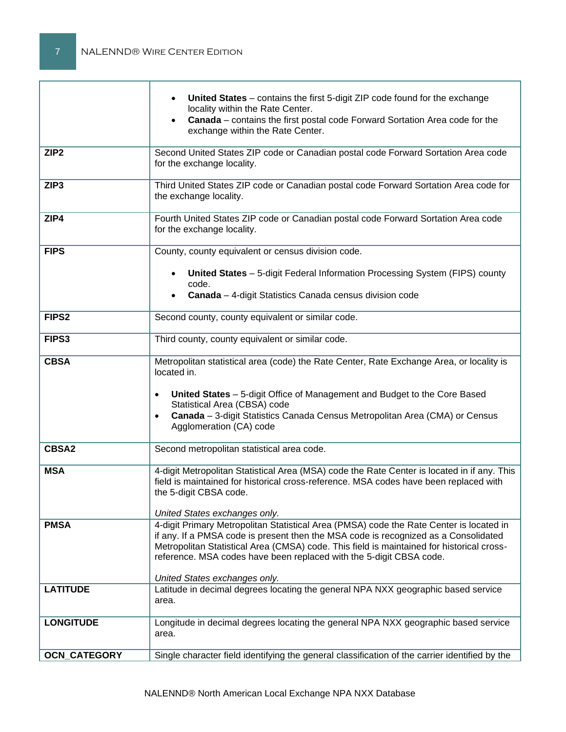|                   | United States - contains the first 5-digit ZIP code found for the exchange<br>$\bullet$                                                                                                                                                                                                                                                            |
|-------------------|----------------------------------------------------------------------------------------------------------------------------------------------------------------------------------------------------------------------------------------------------------------------------------------------------------------------------------------------------|
|                   | locality within the Rate Center.<br>Canada - contains the first postal code Forward Sortation Area code for the<br>$\bullet$<br>exchange within the Rate Center.                                                                                                                                                                                   |
| ZIP <sub>2</sub>  | Second United States ZIP code or Canadian postal code Forward Sortation Area code<br>for the exchange locality.                                                                                                                                                                                                                                    |
| ZIP <sub>3</sub>  | Third United States ZIP code or Canadian postal code Forward Sortation Area code for<br>the exchange locality.                                                                                                                                                                                                                                     |
| ZIP4              | Fourth United States ZIP code or Canadian postal code Forward Sortation Area code<br>for the exchange locality.                                                                                                                                                                                                                                    |
| <b>FIPS</b>       | County, county equivalent or census division code.                                                                                                                                                                                                                                                                                                 |
|                   | United States - 5-digit Federal Information Processing System (FIPS) county<br>code.                                                                                                                                                                                                                                                               |
|                   | Canada - 4-digit Statistics Canada census division code                                                                                                                                                                                                                                                                                            |
| FIPS <sub>2</sub> | Second county, county equivalent or similar code.                                                                                                                                                                                                                                                                                                  |
| FIPS3             | Third county, county equivalent or similar code.                                                                                                                                                                                                                                                                                                   |
| <b>CBSA</b>       | Metropolitan statistical area (code) the Rate Center, Rate Exchange Area, or locality is<br>located in.                                                                                                                                                                                                                                            |
|                   | United States - 5-digit Office of Management and Budget to the Core Based<br>Statistical Area (CBSA) code<br>Canada - 3-digit Statistics Canada Census Metropolitan Area (CMA) or Census<br>Agglomeration (CA) code                                                                                                                                |
| <b>CBSA2</b>      | Second metropolitan statistical area code.                                                                                                                                                                                                                                                                                                         |
| <b>MSA</b>        | 4-digit Metropolitan Statistical Area (MSA) code the Rate Center is located in if any. This<br>field is maintained for historical cross-reference. MSA codes have been replaced with<br>the 5-digit CBSA code.                                                                                                                                     |
|                   | United States exchanges only.                                                                                                                                                                                                                                                                                                                      |
| <b>PMSA</b>       | 4-digit Primary Metropolitan Statistical Area (PMSA) code the Rate Center is located in<br>if any. If a PMSA code is present then the MSA code is recognized as a Consolidated<br>Metropolitan Statistical Area (CMSA) code. This field is maintained for historical cross-<br>reference. MSA codes have been replaced with the 5-digit CBSA code. |
|                   | United States exchanges only.                                                                                                                                                                                                                                                                                                                      |
| <b>LATITUDE</b>   | Latitude in decimal degrees locating the general NPA NXX geographic based service<br>area.                                                                                                                                                                                                                                                         |
| <b>LONGITUDE</b>  | Longitude in decimal degrees locating the general NPA NXX geographic based service<br>area.                                                                                                                                                                                                                                                        |
| OCN_CATEGORY      | Single character field identifying the general classification of the carrier identified by the                                                                                                                                                                                                                                                     |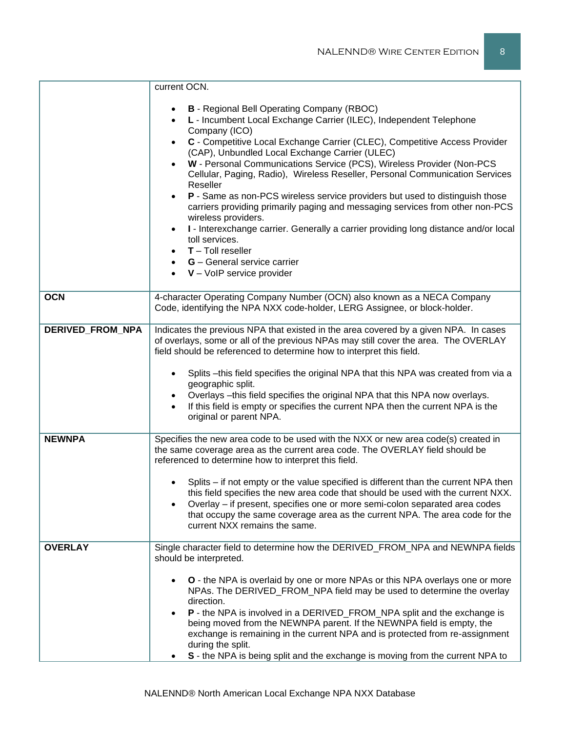|                  | current OCN.                                                                                                                                                                                                                                                                                                                                                                                                                                                                                                                                                                                                                                                                                                                                                                                                                             |
|------------------|------------------------------------------------------------------------------------------------------------------------------------------------------------------------------------------------------------------------------------------------------------------------------------------------------------------------------------------------------------------------------------------------------------------------------------------------------------------------------------------------------------------------------------------------------------------------------------------------------------------------------------------------------------------------------------------------------------------------------------------------------------------------------------------------------------------------------------------|
|                  | <b>B</b> - Regional Bell Operating Company (RBOC)<br>L - Incumbent Local Exchange Carrier (ILEC), Independent Telephone<br>Company (ICO)<br>C - Competitive Local Exchange Carrier (CLEC), Competitive Access Provider<br>(CAP), Unbundled Local Exchange Carrier (ULEC)<br>W - Personal Communications Service (PCS), Wireless Provider (Non-PCS<br>Cellular, Paging, Radio), Wireless Reseller, Personal Communication Services<br>Reseller<br>P - Same as non-PCS wireless service providers but used to distinguish those<br>carriers providing primarily paging and messaging services from other non-PCS<br>wireless providers.<br>I - Interexchange carrier. Generally a carrier providing long distance and/or local<br>toll services.<br>$T -$ Toll reseller<br><b>G</b> - General service carrier<br>V - VoIP service provider |
| <b>OCN</b>       | 4-character Operating Company Number (OCN) also known as a NECA Company<br>Code, identifying the NPA NXX code-holder, LERG Assignee, or block-holder.                                                                                                                                                                                                                                                                                                                                                                                                                                                                                                                                                                                                                                                                                    |
| DERIVED_FROM_NPA | Indicates the previous NPA that existed in the area covered by a given NPA. In cases<br>of overlays, some or all of the previous NPAs may still cover the area. The OVERLAY<br>field should be referenced to determine how to interpret this field.<br>Splits - this field specifies the original NPA that this NPA was created from via a<br>$\bullet$<br>geographic split.<br>Overlays - this field specifies the original NPA that this NPA now overlays.<br>If this field is empty or specifies the current NPA then the current NPA is the<br>$\bullet$<br>original or parent NPA.                                                                                                                                                                                                                                                  |
| <b>NEWNPA</b>    | Specifies the new area code to be used with the NXX or new area code(s) created in<br>the same coverage area as the current area code. The OVERLAY field should be<br>referenced to determine how to interpret this field.<br>Splits – if not empty or the value specified is different than the current NPA then<br>this field specifies the new area code that should be used with the current NXX.<br>Overlay - if present, specifies one or more semi-colon separated area codes<br>that occupy the same coverage area as the current NPA. The area code for the<br>current NXX remains the same.                                                                                                                                                                                                                                    |
| <b>OVERLAY</b>   | Single character field to determine how the DERIVED_FROM_NPA and NEWNPA fields<br>should be interpreted.<br>O - the NPA is overlaid by one or more NPAs or this NPA overlays one or more<br>NPAs. The DERIVED_FROM_NPA field may be used to determine the overlay<br>direction.<br>P - the NPA is involved in a DERIVED_FROM_NPA split and the exchange is<br>being moved from the NEWNPA parent. If the NEWNPA field is empty, the<br>exchange is remaining in the current NPA and is protected from re-assignment<br>during the split.<br>S - the NPA is being split and the exchange is moving from the current NPA to                                                                                                                                                                                                                |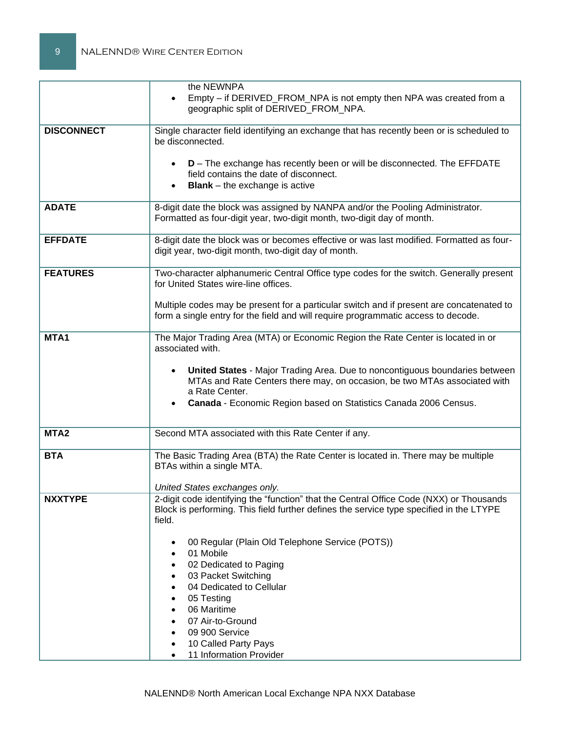|                   | the NEWNPA<br>Empty – if DERIVED_FROM_NPA is not empty then NPA was created from a<br>$\bullet$<br>geographic split of DERIVED_FROM_NPA.                                                                                                                                                                                                                                                                                                                                                     |
|-------------------|----------------------------------------------------------------------------------------------------------------------------------------------------------------------------------------------------------------------------------------------------------------------------------------------------------------------------------------------------------------------------------------------------------------------------------------------------------------------------------------------|
| <b>DISCONNECT</b> | Single character field identifying an exchange that has recently been or is scheduled to<br>be disconnected.                                                                                                                                                                                                                                                                                                                                                                                 |
|                   | <b>D</b> – The exchange has recently been or will be disconnected. The EFFDATE<br>field contains the date of disconnect.<br><b>Blank</b> – the exchange is active                                                                                                                                                                                                                                                                                                                            |
| <b>ADATE</b>      | 8-digit date the block was assigned by NANPA and/or the Pooling Administrator.<br>Formatted as four-digit year, two-digit month, two-digit day of month.                                                                                                                                                                                                                                                                                                                                     |
| <b>EFFDATE</b>    | 8-digit date the block was or becomes effective or was last modified. Formatted as four-<br>digit year, two-digit month, two-digit day of month.                                                                                                                                                                                                                                                                                                                                             |
| <b>FEATURES</b>   | Two-character alphanumeric Central Office type codes for the switch. Generally present<br>for United States wire-line offices.                                                                                                                                                                                                                                                                                                                                                               |
|                   | Multiple codes may be present for a particular switch and if present are concatenated to<br>form a single entry for the field and will require programmatic access to decode.                                                                                                                                                                                                                                                                                                                |
| MTA1              | The Major Trading Area (MTA) or Economic Region the Rate Center is located in or<br>associated with.                                                                                                                                                                                                                                                                                                                                                                                         |
|                   | United States - Major Trading Area. Due to noncontiguous boundaries between<br>$\bullet$<br>MTAs and Rate Centers there may, on occasion, be two MTAs associated with<br>a Rate Center.<br>Canada - Economic Region based on Statistics Canada 2006 Census.<br>٠                                                                                                                                                                                                                             |
| MTA <sub>2</sub>  | Second MTA associated with this Rate Center if any.                                                                                                                                                                                                                                                                                                                                                                                                                                          |
| <b>BTA</b>        | The Basic Trading Area (BTA) the Rate Center is located in. There may be multiple<br>BTAs within a single MTA.                                                                                                                                                                                                                                                                                                                                                                               |
| <b>NXXTYPE</b>    | United States exchanges only.<br>2-digit code identifying the "function" that the Central Office Code (NXX) or Thousands<br>Block is performing. This field further defines the service type specified in the LTYPE<br>field.<br>00 Regular (Plain Old Telephone Service (POTS))<br>01 Mobile<br>$\bullet$<br>02 Dedicated to Paging<br>٠<br>03 Packet Switching<br>04 Dedicated to Cellular<br>05 Testing<br>٠<br>06 Maritime<br>07 Air-to-Ground<br>09 900 Service<br>10 Called Party Pays |
|                   | 11 Information Provider                                                                                                                                                                                                                                                                                                                                                                                                                                                                      |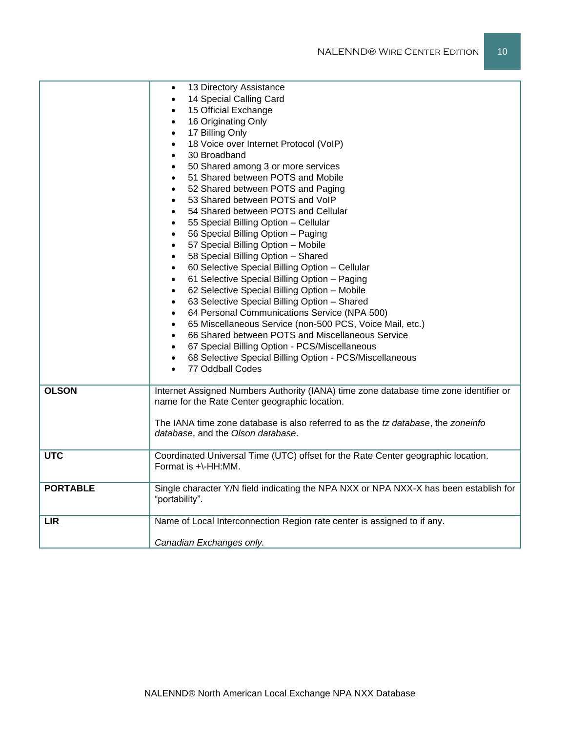|                 | 13 Directory Assistance<br>14 Special Calling Card                                                                                     |
|-----------------|----------------------------------------------------------------------------------------------------------------------------------------|
|                 | 15 Official Exchange                                                                                                                   |
|                 | 16 Originating Only                                                                                                                    |
|                 | 17 Billing Only<br>$\bullet$                                                                                                           |
|                 | 18 Voice over Internet Protocol (VoIP)<br>$\bullet$                                                                                    |
|                 | 30 Broadband<br>$\bullet$                                                                                                              |
|                 | 50 Shared among 3 or more services                                                                                                     |
|                 | 51 Shared between POTS and Mobile                                                                                                      |
|                 | 52 Shared between POTS and Paging                                                                                                      |
|                 | 53 Shared between POTS and VoIP                                                                                                        |
|                 | 54 Shared between POTS and Cellular<br>$\bullet$                                                                                       |
|                 | 55 Special Billing Option - Cellular                                                                                                   |
|                 | 56 Special Billing Option - Paging                                                                                                     |
|                 | 57 Special Billing Option - Mobile<br>$\bullet$                                                                                        |
|                 | 58 Special Billing Option - Shared<br>$\bullet$                                                                                        |
|                 | 60 Selective Special Billing Option - Cellular<br>$\bullet$                                                                            |
|                 | 61 Selective Special Billing Option - Paging<br>$\bullet$                                                                              |
|                 | 62 Selective Special Billing Option - Mobile<br>$\bullet$                                                                              |
|                 | 63 Selective Special Billing Option - Shared<br>$\bullet$                                                                              |
|                 | 64 Personal Communications Service (NPA 500)<br>$\bullet$                                                                              |
|                 | 65 Miscellaneous Service (non-500 PCS, Voice Mail, etc.)<br>$\bullet$                                                                  |
|                 | 66 Shared between POTS and Miscellaneous Service                                                                                       |
|                 | 67 Special Billing Option - PCS/Miscellaneous                                                                                          |
|                 | 68 Selective Special Billing Option - PCS/Miscellaneous<br>$\bullet$                                                                   |
|                 | 77 Oddball Codes                                                                                                                       |
| <b>OLSON</b>    |                                                                                                                                        |
|                 | Internet Assigned Numbers Authority (IANA) time zone database time zone identifier or<br>name for the Rate Center geographic location. |
|                 |                                                                                                                                        |
|                 | The IANA time zone database is also referred to as the tz database, the zoneinfo                                                       |
|                 | database, and the Olson database.                                                                                                      |
|                 |                                                                                                                                        |
| <b>UTC</b>      | Coordinated Universal Time (UTC) offset for the Rate Center geographic location.                                                       |
|                 | Format is +\-HH:MM.                                                                                                                    |
|                 |                                                                                                                                        |
| <b>PORTABLE</b> | Single character Y/N field indicating the NPA NXX or NPA NXX-X has been establish for                                                  |
|                 | "portability".                                                                                                                         |
|                 |                                                                                                                                        |
| <b>LIR</b>      | Name of Local Interconnection Region rate center is assigned to if any.                                                                |
|                 | Canadian Exchanges only.                                                                                                               |
|                 |                                                                                                                                        |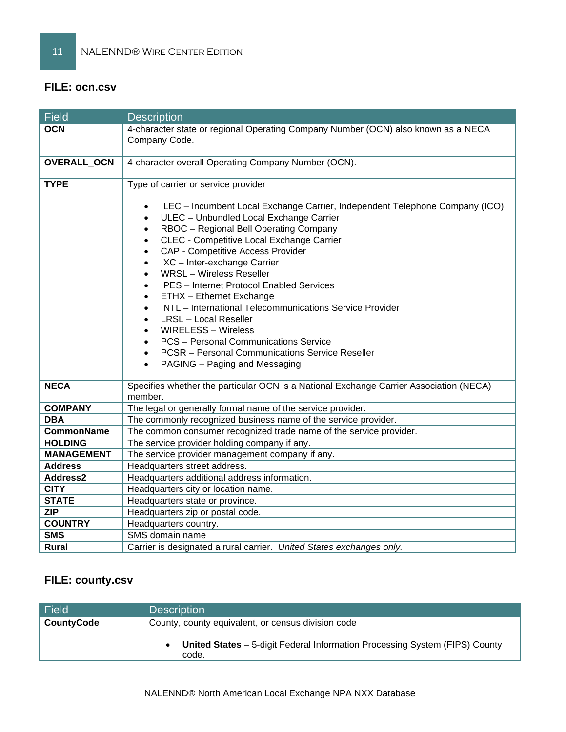# **FILE: ocn.csv**

| <b>Field</b>      | <b>Description</b>                                                                                                                                                                                                                                                                                                                                                                                                                                                                                                                                                                                                                                                                                                                           |
|-------------------|----------------------------------------------------------------------------------------------------------------------------------------------------------------------------------------------------------------------------------------------------------------------------------------------------------------------------------------------------------------------------------------------------------------------------------------------------------------------------------------------------------------------------------------------------------------------------------------------------------------------------------------------------------------------------------------------------------------------------------------------|
| <b>OCN</b>        | 4-character state or regional Operating Company Number (OCN) also known as a NECA<br>Company Code.                                                                                                                                                                                                                                                                                                                                                                                                                                                                                                                                                                                                                                           |
| OVERALL_OCN       | 4-character overall Operating Company Number (OCN).                                                                                                                                                                                                                                                                                                                                                                                                                                                                                                                                                                                                                                                                                          |
| <b>TYPE</b>       | Type of carrier or service provider<br>ILEC - Incumbent Local Exchange Carrier, Independent Telephone Company (ICO)<br>ULEC - Unbundled Local Exchange Carrier<br>RBOC - Regional Bell Operating Company<br>$\bullet$<br>CLEC - Competitive Local Exchange Carrier<br>CAP - Competitive Access Provider<br>$\bullet$<br>IXC - Inter-exchange Carrier<br>$\bullet$<br><b>WRSL</b> - Wireless Reseller<br>$\bullet$<br><b>IPES</b> - Internet Protocol Enabled Services<br>ETHX - Ethernet Exchange<br><b>INTL</b> - International Telecommunications Service Provider<br><b>LRSL</b> - Local Reseller<br><b>WIRELESS - Wireless</b><br><b>PCS</b> - Personal Communications Service<br><b>PCSR</b> - Personal Communications Service Reseller |
| <b>NECA</b>       | PAGING - Paging and Messaging<br>Specifies whether the particular OCN is a National Exchange Carrier Association (NECA)                                                                                                                                                                                                                                                                                                                                                                                                                                                                                                                                                                                                                      |
|                   | member.                                                                                                                                                                                                                                                                                                                                                                                                                                                                                                                                                                                                                                                                                                                                      |
| <b>COMPANY</b>    | The legal or generally formal name of the service provider.                                                                                                                                                                                                                                                                                                                                                                                                                                                                                                                                                                                                                                                                                  |
| <b>DBA</b>        | The commonly recognized business name of the service provider.                                                                                                                                                                                                                                                                                                                                                                                                                                                                                                                                                                                                                                                                               |
| <b>CommonName</b> | The common consumer recognized trade name of the service provider.                                                                                                                                                                                                                                                                                                                                                                                                                                                                                                                                                                                                                                                                           |
| <b>HOLDING</b>    | The service provider holding company if any.                                                                                                                                                                                                                                                                                                                                                                                                                                                                                                                                                                                                                                                                                                 |
| <b>MANAGEMENT</b> | The service provider management company if any.                                                                                                                                                                                                                                                                                                                                                                                                                                                                                                                                                                                                                                                                                              |
| <b>Address</b>    | Headquarters street address.                                                                                                                                                                                                                                                                                                                                                                                                                                                                                                                                                                                                                                                                                                                 |
| Address2          | Headquarters additional address information.                                                                                                                                                                                                                                                                                                                                                                                                                                                                                                                                                                                                                                                                                                 |
| <b>CITY</b>       | Headquarters city or location name.                                                                                                                                                                                                                                                                                                                                                                                                                                                                                                                                                                                                                                                                                                          |
| <b>STATE</b>      | Headquarters state or province.                                                                                                                                                                                                                                                                                                                                                                                                                                                                                                                                                                                                                                                                                                              |
| <b>ZIP</b>        | Headquarters zip or postal code.                                                                                                                                                                                                                                                                                                                                                                                                                                                                                                                                                                                                                                                                                                             |
| <b>COUNTRY</b>    | Headquarters country.                                                                                                                                                                                                                                                                                                                                                                                                                                                                                                                                                                                                                                                                                                                        |
| <b>SMS</b>        | SMS domain name                                                                                                                                                                                                                                                                                                                                                                                                                                                                                                                                                                                                                                                                                                                              |
| Rural             | Carrier is designated a rural carrier. United States exchanges only.                                                                                                                                                                                                                                                                                                                                                                                                                                                                                                                                                                                                                                                                         |

# **FILE: county.csv**

| <b>Field</b>      | <b>Description</b>                                                                   |
|-------------------|--------------------------------------------------------------------------------------|
| <b>CountyCode</b> | County, county equivalent, or census division code                                   |
|                   | United States - 5-digit Federal Information Processing System (FIPS) County<br>code. |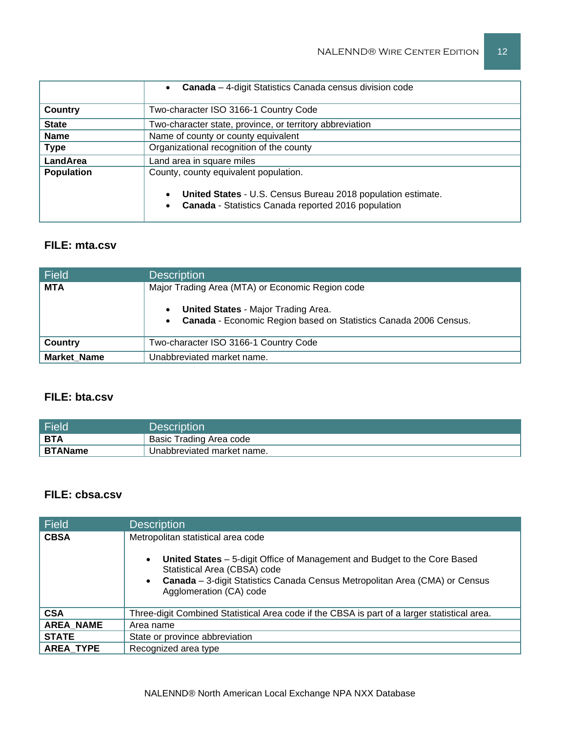|                   | <b>Canada</b> – 4-digit Statistics Canada census division code<br>$\bullet$                                                                                  |
|-------------------|--------------------------------------------------------------------------------------------------------------------------------------------------------------|
| Country           | Two-character ISO 3166-1 Country Code                                                                                                                        |
| <b>State</b>      | Two-character state, province, or territory abbreviation                                                                                                     |
| <b>Name</b>       | Name of county or county equivalent                                                                                                                          |
| <b>Type</b>       | Organizational recognition of the county                                                                                                                     |
| LandArea          | Land area in square miles                                                                                                                                    |
| <b>Population</b> | County, county equivalent population.<br>United States - U.S. Census Bureau 2018 population estimate.<br>Canada - Statistics Canada reported 2016 population |

# **FILE: mta.csv**

| <b>Field</b>       | <b>Description</b>                                                                                                                                                              |
|--------------------|---------------------------------------------------------------------------------------------------------------------------------------------------------------------------------|
| <b>MTA</b>         | Major Trading Area (MTA) or Economic Region code<br><b>United States - Major Trading Area.</b><br>$\bullet$<br>Canada - Economic Region based on Statistics Canada 2006 Census. |
| <b>Country</b>     | Two-character ISO 3166-1 Country Code                                                                                                                                           |
| <b>Market Name</b> | Unabbreviated market name.                                                                                                                                                      |

## **FILE: bta.csv**

| Field          | Description'               |
|----------------|----------------------------|
| BTA            | Basic Trading Area code    |
| <b>BTAName</b> | Unabbreviated market name. |

# **FILE: cbsa.csv**

| <b>Field</b>     | <b>Description</b>                                                                                                                                                                                                                                        |
|------------------|-----------------------------------------------------------------------------------------------------------------------------------------------------------------------------------------------------------------------------------------------------------|
| <b>CBSA</b>      | Metropolitan statistical area code<br>United States - 5-digit Office of Management and Budget to the Core Based<br>Statistical Area (CBSA) code<br>Canada - 3-digit Statistics Canada Census Metropolitan Area (CMA) or Census<br>Agglomeration (CA) code |
| <b>CSA</b>       | Three-digit Combined Statistical Area code if the CBSA is part of a larger statistical area.                                                                                                                                                              |
| <b>AREA NAME</b> | Area name                                                                                                                                                                                                                                                 |
| <b>STATE</b>     | State or province abbreviation                                                                                                                                                                                                                            |
| <b>AREA TYPE</b> | Recognized area type                                                                                                                                                                                                                                      |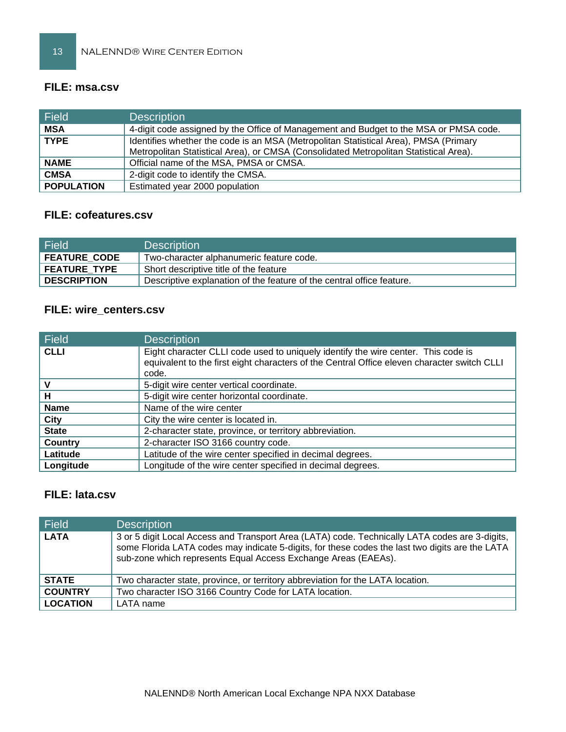## **FILE: msa.csv**

| <b>Field</b>      | <b>Description</b>                                                                                                                                                            |
|-------------------|-------------------------------------------------------------------------------------------------------------------------------------------------------------------------------|
| <b>MSA</b>        | 4-digit code assigned by the Office of Management and Budget to the MSA or PMSA code.                                                                                         |
| <b>TYPE</b>       | Identifies whether the code is an MSA (Metropolitan Statistical Area), PMSA (Primary<br>Metropolitan Statistical Area), or CMSA (Consolidated Metropolitan Statistical Area). |
| <b>NAME</b>       | Official name of the MSA, PMSA or CMSA.                                                                                                                                       |
| <b>CMSA</b>       | 2-digit code to identify the CMSA.                                                                                                                                            |
| <b>POPULATION</b> | Estimated year 2000 population                                                                                                                                                |

# **FILE: cofeatures.csv**

| Field               | <b>Description</b>                                                    |
|---------------------|-----------------------------------------------------------------------|
| <b>FEATURE CODE</b> | Two-character alphanumeric feature code.                              |
| FEATURE TYPE!       | Short descriptive title of the feature                                |
| <b>DESCRIPTION</b>  | Descriptive explanation of the feature of the central office feature. |

# **FILE: wire\_centers.csv**

| <b>Field</b> | <b>Description</b>                                                                                                                                                                        |
|--------------|-------------------------------------------------------------------------------------------------------------------------------------------------------------------------------------------|
| <b>CLLI</b>  | Eight character CLLI code used to uniquely identify the wire center. This code is<br>equivalent to the first eight characters of the Central Office eleven character switch CLLI<br>code. |
| ν            | 5-digit wire center vertical coordinate.                                                                                                                                                  |
| н            | 5-digit wire center horizontal coordinate.                                                                                                                                                |
| <b>Name</b>  | Name of the wire center                                                                                                                                                                   |
| City         | City the wire center is located in.                                                                                                                                                       |
| <b>State</b> | 2-character state, province, or territory abbreviation.                                                                                                                                   |
| Country      | 2-character ISO 3166 country code.                                                                                                                                                        |
| Latitude     | Latitude of the wire center specified in decimal degrees.                                                                                                                                 |
| Longitude    | Longitude of the wire center specified in decimal degrees.                                                                                                                                |

# **FILE: lata.csv**

| Field           | <b>Description</b>                                                                                                                                                                                                                                                  |
|-----------------|---------------------------------------------------------------------------------------------------------------------------------------------------------------------------------------------------------------------------------------------------------------------|
| l LATA          | 3 or 5 digit Local Access and Transport Area (LATA) code. Technically LATA codes are 3-digits,<br>some Florida LATA codes may indicate 5-digits, for these codes the last two digits are the LATA<br>sub-zone which represents Equal Access Exchange Areas (EAEAs). |
| <b>STATE</b>    | Two character state, province, or territory abbreviation for the LATA location.                                                                                                                                                                                     |
| <b>COUNTRY</b>  | Two character ISO 3166 Country Code for LATA location.                                                                                                                                                                                                              |
| <b>LOCATION</b> | LATA name                                                                                                                                                                                                                                                           |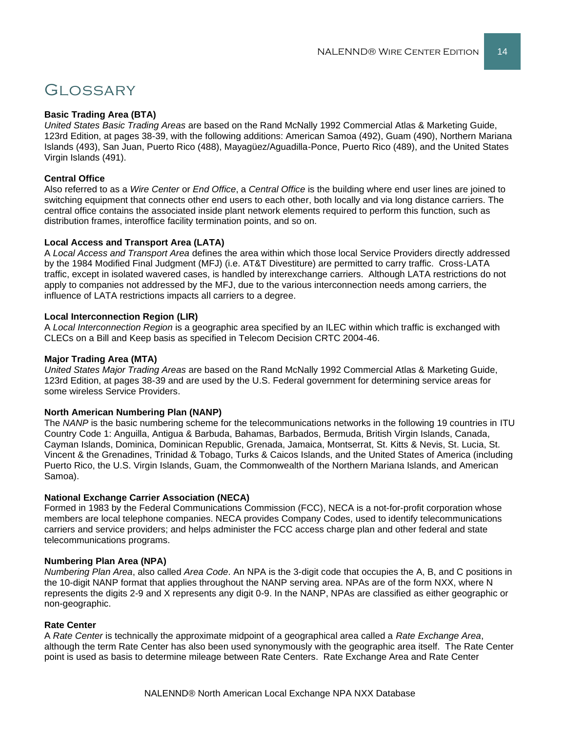# **GLOSSARY**

#### **Basic Trading Area (BTA)**

*United States Basic Trading Areas* are based on the Rand McNally 1992 Commercial Atlas & Marketing Guide, 123rd Edition, at pages 38-39, with the following additions: American Samoa (492), Guam (490), Northern Mariana Islands (493), San Juan, Puerto Rico (488), Mayagüez/Aguadilla-Ponce, Puerto Rico (489), and the United States Virgin Islands (491).

#### **Central Office**

Also referred to as a *Wire Center* or *End Office*, a *Central Office* is the building where end user lines are joined to switching equipment that connects other end users to each other, both locally and via long distance carriers. The central office contains the associated inside plant network elements required to perform this function, such as distribution frames, interoffice facility termination points, and so on.

#### **Local Access and Transport Area (LATA)**

A *Local Access and Transport Area* defines the area within which those local Service Providers directly addressed by the 1984 Modified Final Judgment (MFJ) (i.e. AT&T Divestiture) are permitted to carry traffic. Cross-LATA traffic, except in isolated wavered cases, is handled by interexchange carriers. Although LATA restrictions do not apply to companies not addressed by the MFJ, due to the various interconnection needs among carriers, the influence of LATA restrictions impacts all carriers to a degree.

#### **Local Interconnection Region (LIR)**

A *Local Interconnection Region* is a geographic area specified by an ILEC within which traffic is exchanged with CLECs on a Bill and Keep basis as specified in Telecom Decision CRTC 2004-46.

#### **Major Trading Area (MTA)**

*United States Major Trading Areas* are based on the Rand McNally 1992 Commercial Atlas & Marketing Guide, 123rd Edition, at pages 38-39 and are used by the U.S. Federal government for determining service areas for some wireless Service Providers.

#### **North American Numbering Plan (NANP)**

The *NANP* is the basic numbering scheme for the telecommunications networks in the following 19 countries in ITU Country Code 1: Anguilla, Antigua & Barbuda, Bahamas, Barbados, Bermuda, British Virgin Islands, Canada, Cayman Islands, Dominica, Dominican Republic, Grenada, Jamaica, Montserrat, St. Kitts & Nevis, St. Lucia, St. Vincent & the Grenadines, Trinidad & Tobago, Turks & Caicos Islands, and the United States of America (including Puerto Rico, the U.S. Virgin Islands, Guam, the Commonwealth of the Northern Mariana Islands, and American Samoa).

#### **National Exchange Carrier Association (NECA)**

Formed in 1983 by the Federal Communications Commission (FCC), NECA is a not-for-profit corporation whose members are local telephone companies. NECA provides Company Codes, used to identify telecommunications carriers and service providers; and helps administer the FCC access charge plan and other federal and state telecommunications programs.

#### **Numbering Plan Area (NPA)**

*Numbering Plan Area*, also called *Area Code*. An NPA is the 3-digit code that occupies the A, B, and C positions in the 10-digit NANP format that applies throughout the NANP serving area. NPAs are of the form NXX, where N represents the digits 2-9 and X represents any digit 0-9. In the NANP, NPAs are classified as either geographic or non-geographic.

#### **Rate Center**

A *Rate Center* is technically the approximate midpoint of a geographical area called a *Rate Exchange Area*, although the term Rate Center has also been used synonymously with the geographic area itself. The Rate Center point is used as basis to determine mileage between Rate Centers. Rate Exchange Area and Rate Center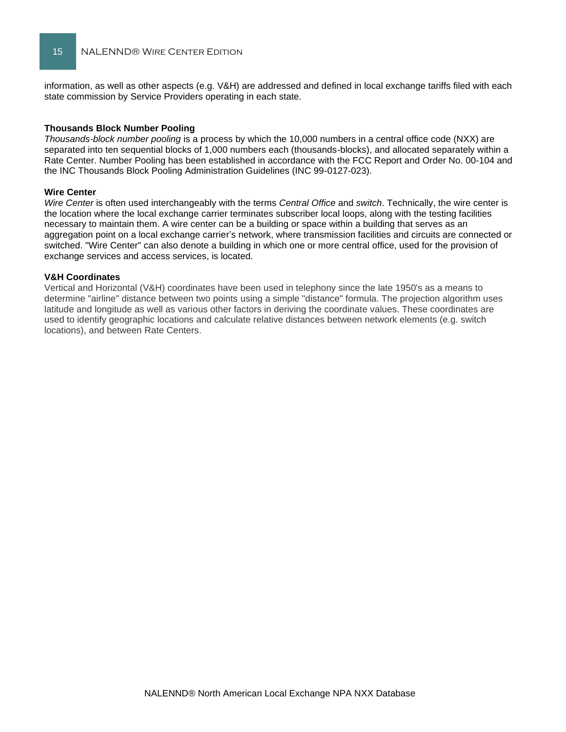information, as well as other aspects (e.g. V&H) are addressed and defined in local exchange tariffs filed with each state commission by Service Providers operating in each state.

#### **Thousands Block Number Pooling**

*Thousands-block number pooling* is a process by which the 10,000 numbers in a central office code (NXX) are separated into ten sequential blocks of 1,000 numbers each (thousands-blocks), and allocated separately within a Rate Center. Number Pooling has been established in accordance with the FCC Report and Order No. 00-104 and the INC Thousands Block Pooling Administration Guidelines (INC 99-0127-023).

#### **Wire Center**

*Wire Center* is often used interchangeably with the terms *Central Office* and *switch*. Technically, the wire center is the location where the local exchange carrier terminates subscriber local loops, along with the testing facilities necessary to maintain them. A wire center can be a building or space within a building that serves as an aggregation point on a local exchange carrier's network, where transmission facilities and circuits are connected or switched. "Wire Center" can also denote a building in which one or more central office, used for the provision of exchange services and access services, is located.

#### **V&H Coordinates**

Vertical and Horizontal (V&H) coordinates have been used in telephony since the late 1950's as a means to determine "airline" distance between two points using a simple "distance" formula. The projection algorithm uses latitude and longitude as well as various other factors in deriving the coordinate values. These coordinates are used to identify geographic locations and calculate relative distances between network elements (e.g. switch locations), and between Rate Centers.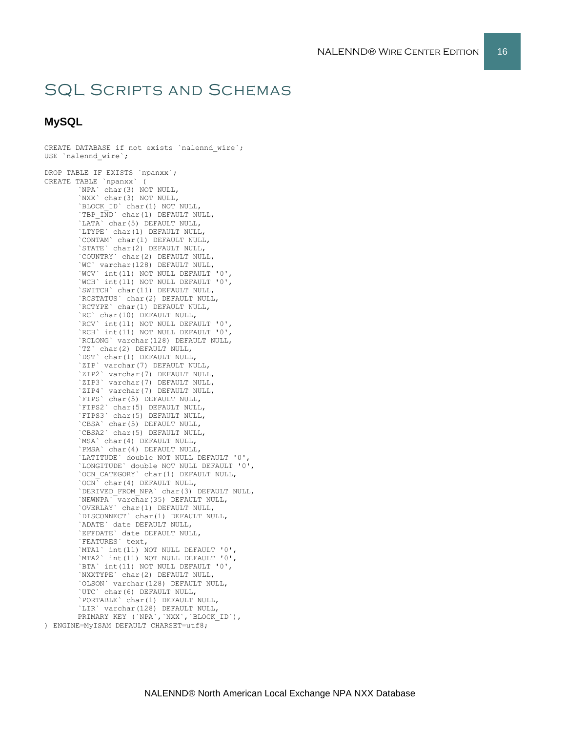# SQL Scripts and Schemas

## **MySQL**

```
CREATE DATABASE if not exists `nalennd_wire`;
USE `nalennd_wire`;
DROP TABLE IF EXISTS `npanxx`;
CREATE TABLE `npanxx` (
        `NPA` char(3) NOT NULL,
       `NXX` char(3) NOT NULL,
       `BLOCK_ID` char(1) NOT NULL,
        `TBP IND` char(1) DEFAULT NULL,
       `LATA` char(5) DEFAULT NULL,
       `LTYPE` char(1) DEFAULT NULL,
        `CONTAM` char(1) DEFAULT NULL,
        `STATE` char(2) DEFAULT NULL,
       `COUNTRY` char(2) DEFAULT NULL,
       `WC` varchar(128) DEFAULT NULL,<br>`WCV` int(11) NOT NULL DEFAULT
             int(11) NOT NULL DEFAULT '0',
       `WCH` int(11) NOT NULL DEFAULT '0',
       `SWITCH` char(11) DEFAULT NULL,
        `RCSTATUS` char(2) DEFAULT NULL,
        `RCTYPE` char(1) DEFAULT NULL,
       `RC` char(10) DEFAULT NULL,
        `RCV` int(11) NOT NULL DEFAULT '0',
        `RCH` int(11) NOT NULL DEFAULT '0',
       `RCLONG` varchar(128) DEFAULT NULL,
       `TZ` char(2) DEFAULT NULL,
        `DST` char(1) DEFAULT NULL,
        `ZIP` varchar(7) DEFAULT NULL,
       `ZIP2` varchar(7) DEFAULT NULL,
       `ZIP3` varchar(7) DEFAULT NULL,
        `ZIP4` varchar(7) DEFAULT NULL,
       `FIPS` char(5) DEFAULT NULL,
       `FIPS2` char(5) DEFAULT NULL,
        `FIPS3` char(5) DEFAULT NULL,
        `CBSA` char(5) DEFAULT NULL,
       `CBSA2` char(5) DEFAULT NULL,
       `MSA` char(4) DEFAULT NULL,
        `PMSA` char(4) DEFAULT NULL,
        `LATITUDE` double NOT NULL DEFAULT '0',
       `LONGITUDE` double NOT NULL DEFAULT '0',
        `OCN_CATEGORY` char(1) DEFAULT NULL,
        `OCN` char(4) DEFAULT NULL,
       `DERIVED_FROM_NPA` char(3) DEFAULT NULL,
       `NEWNPA` varchar(35) DEFAULT NULL,
        `OVERLAY` char(1) DEFAULT NULL,
        `DISCONNECT` char(1) DEFAULT NULL,
       `ADATE` date DEFAULT NULL,
        `EFFDATE` date DEFAULT NULL,
        `FEATURES` text,
       `MTA1` int(11) NOT NULL DEFAULT '0',
       `MTA2` int(11) NOT NULL DEFAULT '0',
        `BTA` int(11) NOT NULL DEFAULT '0',
        `NXXTYPE` char(2) DEFAULT NULL,
       `OLSON` varchar(128) DEFAULT NULL,
        `UTC` char(6) DEFAULT NULL,
        `PORTABLE` char(1) DEFAULT NULL,
       `LIR` varchar(128) DEFAULT NULL,
       PRIMARY KEY (`NPA`,`NXX`,`BLOCK_ID`),
) ENGINE=MyISAM DEFAULT CHARSET=utf8;
```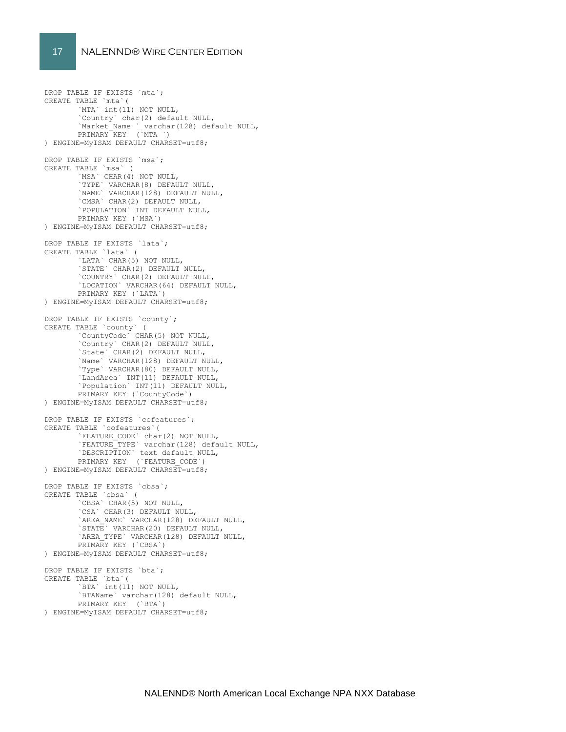17 NALENND® Wire Center Edition

```
DROP TABLE IF EXISTS `mta`;
CREATE TABLE `mta`(
       `MTA` int(11) NOT NULL,
        `Country` char(2) default NULL,
        `Market_Name ` varchar(128) default NULL,
       PRIMARY KEY (`MTA `)
) ENGINE=MyISAM DEFAULT CHARSET=utf8;
DROP TABLE IF EXISTS `msa`;
CREATE TABLE `msa` (
        `MSA` CHAR(4) NOT NULL,
        `TYPE` VARCHAR(8) DEFAULT NULL,
       `NAME` VARCHAR(128) DEFAULT NULL,
        `CMSA` CHAR(2) DEFAULT NULL,
       `POPULATION` INT DEFAULT NULL,
       PRIMARY KEY (`MSA`)
) ENGINE=MyISAM DEFAULT CHARSET=utf8;
DROP TABLE IF EXISTS `lata`;
CREATE TABLE `lata` (
        `LATA` CHAR(5) NOT NULL,
       `STATE` CHAR(2) DEFAULT NULL,
       `COUNTRY` CHAR(2) DEFAULT NULL,
       `LOCATION` VARCHAR(64) DEFAULT NULL,
       PRIMARY KEY (`LATA`)
) ENGINE=MyISAM DEFAULT CHARSET=utf8;
DROP TABLE IF EXISTS `county`;
CREATE TABLE `county` (
        `CountyCode` CHAR(5) NOT NULL,
       `Country` CHAR(2) DEFAULT NULL,
        `State` CHAR(2) DEFAULT NULL,
        `Name` VARCHAR(128) DEFAULT NULL,
       `Type` VARCHAR(80) DEFAULT NULL,
       `LandArea` INT(11) DEFAULT NULL,
        `Population` INT(11) DEFAULT NULL,
       PRIMARY KEY (`CountyCode`)
) ENGINE=MyISAM DEFAULT CHARSET=utf8;
DROP TABLE IF EXISTS `cofeatures`;
CREATE TABLE `cofeatures`(
       `FEATURE_CODE` char(2) NOT NULL,
        `FEATURE_TYPE` varchar(128) default NULL,
       `DESCRIPTION` text default NULL,
       PRIMARY KEY (`FEATURE_CODE`)
) ENGINE=MyISAM DEFAULT CHARSET=utf8;
DROP TABLE IF EXISTS `cbsa`;
CREATE TABLE `cbsa` (
        `CBSA` CHAR(5) NOT NULL,
       `CSA` CHAR(3) DEFAULT NULL,
       `AREA_NAME` VARCHAR(128) DEFAULT NULL,
       `STATE` VARCHAR(20) DEFAULT NULL,
        `AREA_TYPE` VARCHAR(128) DEFAULT NULL,
       PRIMARY KEY (`CBSA`)
) ENGINE=MyISAM DEFAULT CHARSET=utf8;
DROP TABLE IF EXISTS `bta`;
CREATE TABLE `bta`(
        `BTA` int(11) NOT NULL,
        `BTAName` varchar(128) default NULL,
       PRIMARY KEY (`BTA`)
) ENGINE=MyISAM DEFAULT CHARSET=utf8;
```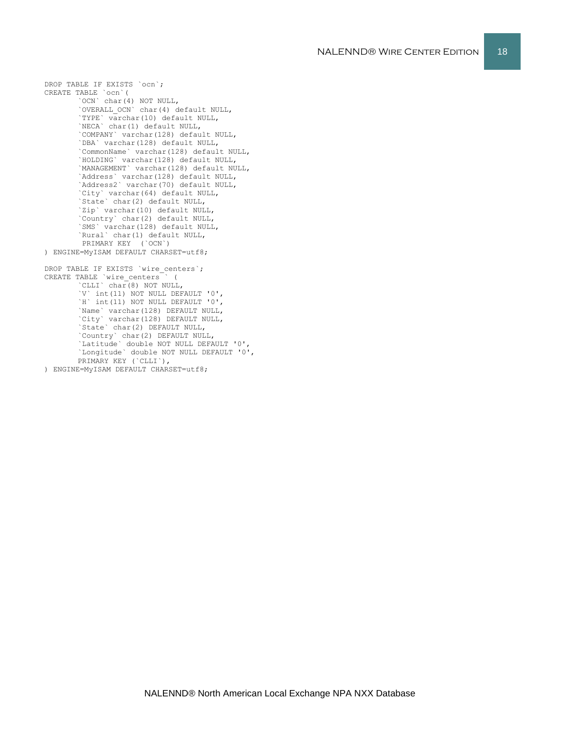```
DROP TABLE IF EXISTS `ocn`;
CREATE TABLE `ocn`(
        `OCN` char(4) NOT NULL,
        `OVERALL_OCN` char(4) default NULL,
        `TYPE` varchar(10) default NULL,
        `NECA` char(1) default NULL,
        `COMPANY` varchar(128) default NULL,
        `DBA` varchar(128) default NULL,
        `CommonName` varchar(128) default NULL,
       `HOLDING` varchar(128) default NULL,
        `MANAGEMENT` varchar(128) default NULL,
        `Address` varchar(128) default NULL,
        `Address2` varchar(70) default NULL,
        `City` varchar(64) default NULL,
        `State` char(2) default NULL,
        `Zip` varchar(10) default NULL,
        `Country` char(2) default NULL,
        `SMS` varchar(128) default NULL,
        `Rural` char(1) default NULL,
        PRIMARY KEY (`OCN`)
) ENGINE=MyISAM DEFAULT CHARSET=utf8;
DROP TABLE IF EXISTS `wire_centers`;<br>CREATE TABLE `wire centers` (
CREATE TABLE `wire_centers
        `CLLI` char(8) NOT NULL,
        `V` int(11) NOT NULL DEFAULT '0',
        `H` int(11) NOT NULL DEFAULT '0',
        `Name` varchar(128) DEFAULT NULL,
        `City` varchar(128) DEFAULT NULL,
        `State` char(2) DEFAULT NULL,
        `Country` char(2) DEFAULT NULL,
        `Latitude` double NOT NULL DEFAULT '0',
        `Longitude` double NOT NULL DEFAULT '0',
        PRIMARY KEY (`CLLI`),
```
) ENGINE=MyISAM DEFAULT CHARSET=utf8;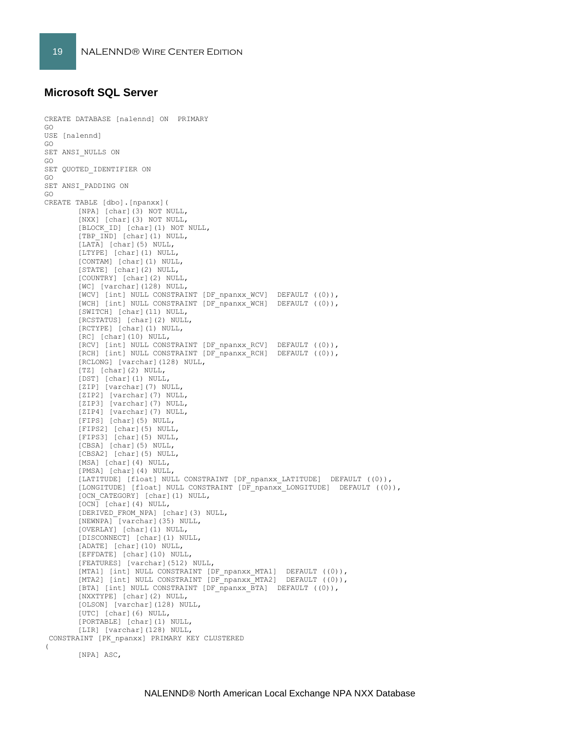## **Microsoft SQL Server**

```
CREATE DATABASE [nalennd] ON PRIMARY 
GO
USE [nalennd]
GO
SET ANSI_NULLS ON
GO
SET QUOTED IDENTIFIER ON
GO
SET ANSI_PADDING ON
GO
CREATE TABLE [dbo].[npanxx](
       [NPA] [char](3) NOT NULL,
        [NXX] [char](3) NOT NULL,
       [BLOCK_ID] [char](1) NOT NULL,
       [TBP_IND] [char](1) NULL,
        [LATA] [char](5) NULL,
        [LTYPE] [char](1) NULL,
       [CONTAM] [char](1) NULL,
       [STATE] [char](2) NULL,
        [COUNTRY] [char](2) NULL,
       [WC] [varchar](128) NULL,
        [WCV] [int] NULL CONSTRAINT [DF npanxx WCV] DEFAULT ((0)),
        [WCH] [int] NULL CONSTRAINT [DF_npanxx_WCH] DEFAULT ((0)),
        [SWITCH] [char](11) NULL,
       [RCSTATUS] [char](2) NULL,
        [RCTYPE] [char](1) NULL,
        [RC] [char](10) NULL,
        [RCV] [int] NULL CONSTRAINT [DF_npanxx_RCV] DEFAULT ((0)),
        [RCH] [int] NULL CONSTRAINT [DF_npanxx_RCH] DEFAULT ((0)),
        [RCLONG] [varchar](128) NULL,
        [TZ] [char](2) NULL,
       [DST] [char](1) NULL,
       [ZIP] [varchar](7) NULL,
        [ZIP2] [varchar](7) NULL,
        [ZIP3] [varchar](7) NULL,
       [ZIP4] [varchar](7) NULL,
       [FIPS] [char](5) NULL,
        [FIPS2] [char](5) NULL,
       [FIPS3] [char](5) NULL,
       [CBSA] [char](5) NULL,
        [CBSA2] [char](5) NULL,
       [MSA] [char](4) NULL,
        [PMSA] [char](4) NULL,
        [LATITUDE] [float] NULL CONSTRAINT [DF npanxx LATITUDE] DEFAULT ((0)),
        [LONGITUDE] [float] NULL CONSTRAINT [D\overline{F} npanxx LONGITUDE] DEFAULT ((0)),
       [OCN_CATEGORY] [char](1) NULL,
       [OCN] [char](4) NULL,
        [DERIVED_FROM_NPA] [char](3) NULL,
       [NEWNPA] [varchar](35) NULL,
       [OVERLAY] [char](1) NULL,
        [DISCONNECT] [char](1) NULL,
        [ADATE] [char](10) NULL,
       [EFFDATE] [char](10) NULL,
        [FEATURES] [varchar](512) NULL,
        [MTA1] [int] NULL CONSTRAINT [DF npanxx MTA1] DEFAULT ((0)),
        [MTA2] [int] NULL CONSTRAINT [DF npanxx MTA2] DEFAULT ((0)),
        [BTA] [int] NULL CONSTRAINT [DF npanxx BTA] DEFAULT ((0)),
        [NXXTYPE] [char](2) NULL,
        [OLSON] [varchar](128) NULL,
       [UTC] [char](6) NULL,
       [PORTABLE] [char](1) NULL,
        [LIR] [varchar](128) NULL,
 CONSTRAINT [PK_npanxx] PRIMARY KEY CLUSTERED 
(
       [NPA] ASC,
```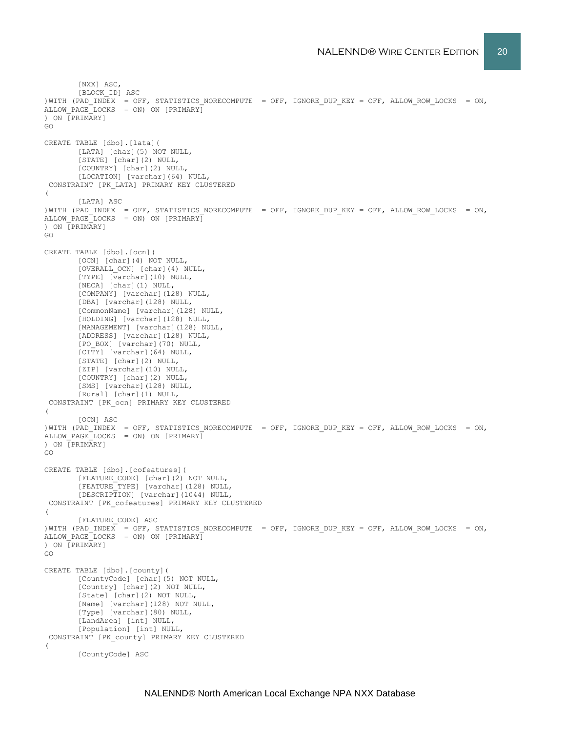```
[NXX] ASC,
       [BLOCK_ID] ASC
) WITH (PAD_INDEX = OFF, STATISTICS_NORECOMPUTE = OFF, IGNORE DUP KEY = OFF, ALLOW ROW LOCKS = ON,
ALLOW_PAGE_LOCKS = ON) ON [PRIMARY]
) ON [PRIMARY]
GO
CREATE TABLE [dbo].[lata](
        [LATA] [char](5) NOT NULL,
        [STATE] [char](2) NULL,
       [COUNTRY] [char](2) NULL,
       [LOCATION] [varchar](64) NULL,
 CONSTRAINT [PK_LATA] PRIMARY KEY CLUSTERED 
(
       [LATA] ASC
)WITH (PAD INDEX = OFF, STATISTICS NORECOMPUTE = OFF, IGNORE DUP KEY = OFF, ALLOW ROW LOCKS = ON,
ALLOW PAGE LOCKS = ON) ON [PRIMARY]) ON [PRIMARY]
GO
CREATE TABLE [dbo].[ocn](
       [OCN] [char](4) NOT NULL,
       [OVERALL_OCN] [char](4) NULL,
       [TYPE] [varchar](10) NULL,
       [NECA] [char](1) NULL,
       [COMPANY] [varchar](128) NULL,
        [DBA] [varchar](128) NULL,
       [CommonName] [varchar](128) NULL,
       [HOLDING] [varchar](128) NULL,
       [MANAGEMENT] [varchar](128) NULL,
       [ADDRESS] [varchar](128) NULL,
       [PO_BOX] [varchar](70) NULL,
       [CITY] [varchar](64) NULL,
       [STATE] [char](2) NULL,
       [ZIP] [varchar](10) NULL,
       [COUNTRY] [char](2) NULL,
       [SMS] [varchar](128) NULL,
       [Rural] [char](1) NULL,
 CONSTRAINT [PK_ocn] PRIMARY KEY CLUSTERED 
(
       [OCN] ASC
)WITH (PAD INDEX = OFF, STATISTICS NORECOMPUTE = OFF, IGNORE DUP KEY = OFF, ALLOW ROW LOCKS = ON,
ALLOW PAGE LOCKS = ON) ON [PRIMARY]) ON [PRIMARY]
GO
CREATE TABLE [dbo].[cofeatures](
       [FEATURE_CODE] [char](2) NOT NULL,
       [FEATURE_TYPE] [varchar](128) NULL,
       [DESCRIPTION] [varchar](1044) NULL,
CONSTRAINT [PK_cofeatures] PRIMARY KEY CLUSTERED 
(
       [FEATURE_CODE] ASC
)WITH (PAD_INDEX = OFF, STATISTICS_NORECOMPUTE = OFF, IGNORE_DUP_KEY = OFF, ALLOW_ROW_LOCKS = ON, 
ALLOW PAGE LOCKS = ON) ON [PRIMARY]) ON [PRIMARY]
GO
CREATE TABLE [dbo].[county](
       [CountyCode] [char](5) NOT NULL,
        [Country] [char](2) NOT NULL,
        [State] [char](2) NOT NULL,
       [Name] [varchar](128) NOT NULL,
       [Type] [varchar](80) NULL,
       [LandArea] [int] NULL,
       [Population] [int] NULL,
 CONSTRAINT [PK_county] PRIMARY KEY CLUSTERED 
(
       [CountyCode] ASC
```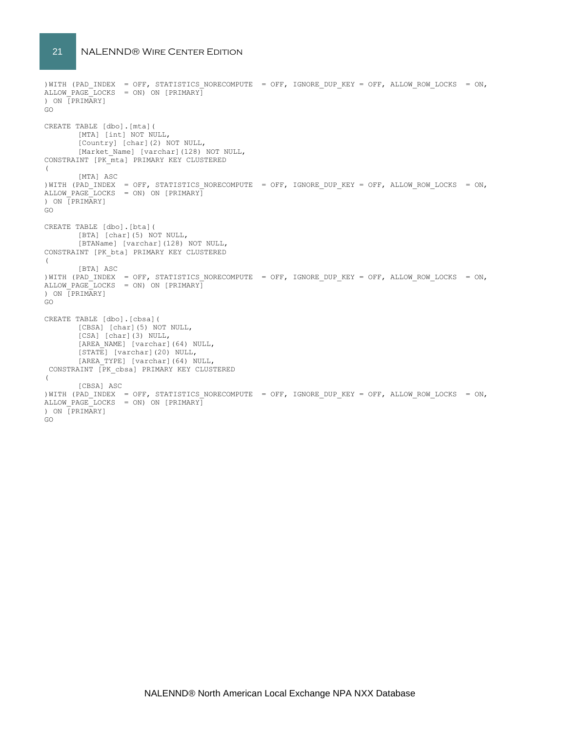#### 21 NALENND® WIRE CENTER EDITION

```
)WITH (PAD_INDEX = OFF, STATISTICS_NORECOMPUTE = OFF, IGNORE_DUP_KEY = OFF, ALLOW_ROW_LOCKS = ON, 
ALLOW PAGE LOCKS = ON) ON [PRIMARY]) ON [PRIMARY]
GO
CREATE TABLE [dbo].[mta](
       [MTA] [int] NOT NULL,
       [Country] [char](2) NOT NULL,
       [Market Name] [varchar](128) NOT NULL,
CONSTRAINT [PK_mta] PRIMARY KEY CLUSTERED 
(
       [MTA] ASC
)WITH (PAD INDEX = OFF, STATISTICS NORECOMPUTE = OFF, IGNORE DUP KEY = OFF, ALLOW ROW LOCKS = ON,
ALLOW PAGE LOCKS = ON) ON [PRIMARY]) ON [PRIMARY]
GO
CREATE TABLE [dbo].[bta](
      [BTA] [char](5) NOT NULL,
       [BTAName] [varchar](128) NOT NULL,
CONSTRAINT [PK_bta] PRIMARY KEY CLUSTERED 
(
       [BTA] ASC
) WITH (PAD INDEX = OFF, STATISTICS NORECOMPUTE = OFF, IGNORE DUP KEY = OFF, ALLOW ROW LOCKS = ON,
ALLOW PAGE LOCKS = ON) ON [PRIMARY]) ON [PRIMARY]
GO
CREATE TABLE [dbo].[cbsa](
       [CBSA] [char](5) NOT NULL,
       [CSA] [char](3) NULL,
       [AREA NAME] [varchar](64) NULL,
       [STATE] [varchar](20) NULL,
       [AREA_TYPE] [varchar](64) NULL,
CONSTRAINT [PK_cbsa] PRIMARY KEY CLUSTERED 
(
       [CBSA] ASC
) WITH (PAD_INDEX = OFF, STATISTICS NORECOMPUTE = OFF, IGNORE DUP KEY = OFF, ALLOW ROW LOCKS = ON,
ALLOW PAGE LOCKS = ON) ON [PRIMARY]) ON [PRIMARY]
GO
```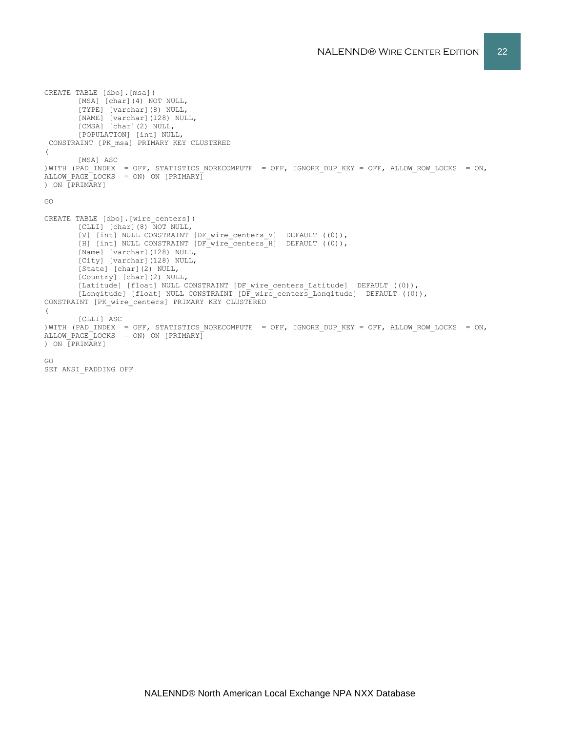```
CREATE TABLE [dbo].[msa](
       [MSA] [char](4) NOT NULL,
       [TYPE] [varchar](8) NULL,
        [NAME] [varchar](128) NULL,
        [CMSA] [char](2) NULL,
       [POPULATION] [int] NULL,
CONSTRAINT [PK_msa] PRIMARY KEY CLUSTERED 
\left([MSA] ASC
) WITH (PAD INDEX = OFF, STATISTICS NORECOMPUTE = OFF, IGNORE DUP KEY = OFF, ALLOW ROW LOCKS = ON,
ALLOW_PAGE_LOCKS = ON) ON [PRIMARY]
) ON [PRIMARY]
GO
CREATE TABLE [dbo].[wire_centers](
       [CLLI] [char](8) NOT NULL,
       [V] [int] NULL CONSTRAINT [DF_wire_centers_V] DEFAULT ((0)),
       [H] [int] NULL CONSTRAINT [DF_wire_centers_H] DEFAULT ((0)),
       [Name] [varchar](128) NULL,
       [City] [varchar](128) NULL,
       [State] [char](2) NULL,
       [Country] [char](2) NULL,
       [Latitude] [float] NULL CONSTRAINT [DF wire centers Latitude] DEFAULT ((0)),
       [Longitude] [float] NULL CONSTRAINT [DF_wire_centers_Longitude] DEFAULT ((0)),
CONSTRAINT [PK_wire_centers] PRIMARY KEY CLUSTERED 
\left([CLLI] ASC
) WITH (PAD_INDEX = OFF, STATISTICS NORECOMPUTE = OFF, IGNORE DUP KEY = OFF, ALLOW ROW LOCKS = ON,
ALLOW PAGE LOCKS = ON) ON [PRIMARY]) ON [PRIMARY]
GO
SET ANSI_PADDING OFF
```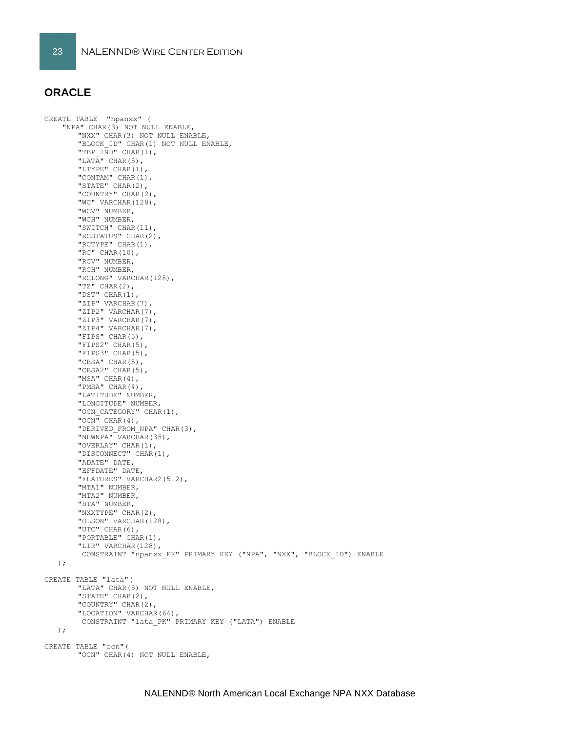# **ORACLE**

CREATE TABLE "npanxx" ( "NPA" CHAR(3) NOT NULL ENABLE, "NXX" CHAR(3) NOT NULL ENABLE, "BLOCK\_ID" CHAR(1) NOT NULL ENABLE, "TBP IND" CHAR(1), "LATA" CHAR(5), "LTYPE" CHAR(1), "CONTAM" CHAR(1), "STATE" CHAR(2), "COUNTRY" CHAR(2), "WC" VARCHAR(128), "WCV" NUMBER, "WCH" NUMBER, "SWITCH" CHAR(11), "RCSTATUS" CHAR(2), "RCTYPE" CHAR(1), "RC" CHAR(10), "RCV" NUMBER, "RCH" NUMBER, "RCLONG" VARCHAR(128), "TZ" CHAR(2), "DST" CHAR(1), "ZIP" VARCHAR(7), "ZIP2" VARCHAR(7), "ZIP3" VARCHAR(7), "ZIP4" VARCHAR(7), "FIPS" CHAR(5), "FIPS2" CHAR(5), "FIPS3" CHAR(5), "CBSA" CHAR(5), "CBSA2" CHAR(5), "MSA" CHAR(4), "PMSA" CHAR(4), "LATITUDE" NUMBER, "LONGITUDE" NUMBER, "OCN CATEGORY" CHAR(1), "OCN" CHAR $(4)$ , "DERIVED\_FROM\_NPA" CHAR(3), "NEWNPA" VARCHAR(35), "OVERLAY" CHAR(1), "DISCONNECT" CHAR(1), "ADATE" DATE, "EFFDATE" DATE, "FEATURES" VARCHAR2(512), "MTA1" NUMBER, "MTA2" NUMBER, "BTA" NUMBER, "NXXTYPE" CHAR(2), "OLSON" VARCHAR(128), "UTC" CHAR(6), "PORTABLE" CHAR(1), "LIR" VARCHAR(128), CONSTRAINT "npanxx\_PK" PRIMARY KEY ("NPA", "NXX", "BLOCK\_ID") ENABLE ); CREATE TABLE "lata"( "LATA" CHAR(5) NOT NULL ENABLE, "STATE" CHAR(2), "COUNTRY" CHAR(2), "LOCATION" VARCHAR(64), CONSTRAINT "lata\_PK" PRIMARY KEY ("LATA") ENABLE ); CREATE TABLE "ocn"( "OCN" CHAR(4) NOT NULL ENABLE,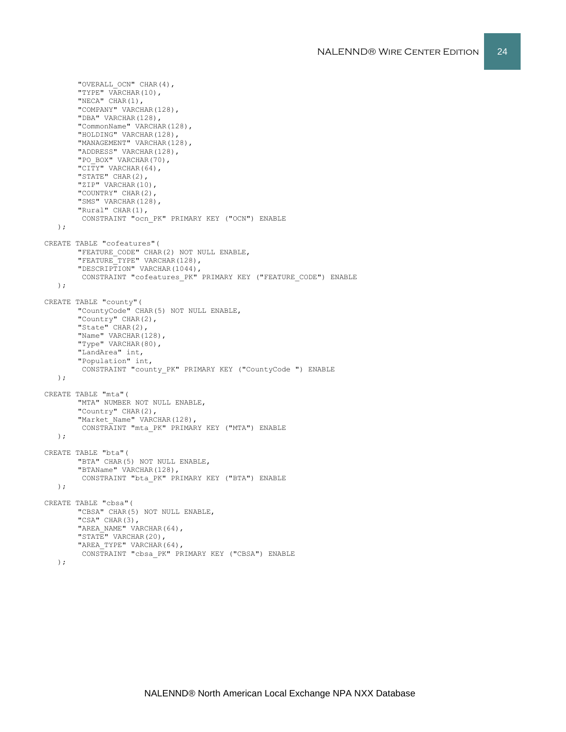```
"OVERALL OCN" CHAR(4),
       "TYPE" VARCHAR(10),
       "NECA" CHAR(1),
       "COMPANY" VARCHAR(128),
       "DBA" VARCHAR(128),
        "CommonName" VARCHAR(128),
       "HOLDING" VARCHAR(128),
       "MANAGEMENT" VARCHAR(128),
       "ADDRESS" VARCHAR(128),
       "PO_BOX" VARCHAR(70),
       "CITY" VARCHAR(64),
       "STATE" CHAR(2),
       "ZIP" VARCHAR(10),
       "COUNTRY" CHAR(2),
       "SMS" VARCHAR(128),
       "Rural" CHAR(1),
        CONSTRAINT "ocn_PK" PRIMARY KEY ("OCN") ENABLE
   );
CREATE TABLE "cofeatures"(
       "FEATURE CODE" CHAR(2) NOT NULL ENABLE,
       "FEATURE_TYPE" VARCHAR(128),
        "DESCRIPTION" VARCHAR(1044),
         CONSTRAINT "cofeatures_PK" PRIMARY KEY ("FEATURE_CODE") ENABLE
   );
CREATE TABLE "county"(
       "CountyCode" CHAR(5) NOT NULL ENABLE,
       "Country" CHAR(2),
       "State" CHAR(2),
       "Name" VARCHAR(128),
       "Type" VARCHAR(80),
       "LandArea" int,
       "Population" int,
        CONSTRAINT "county_PK" PRIMARY KEY ("CountyCode ") ENABLE
   );
CREATE TABLE "mta"(
       "MTA" NUMBER NOT NULL ENABLE,
       "Country" CHAR(2),
       "Market Name" VARCHAR(128),
        CONSTRAINT "mta_PK" PRIMARY KEY ("MTA") ENABLE
   );
CREATE TABLE "bta"(
       "BTA" CHAR(5) NOT NULL ENABLE,
       "BTAName" VARCHAR(128),
        CONSTRAINT "bta_PK" PRIMARY KEY ("BTA") ENABLE
   );
CREATE TABLE "cbsa"(
       "CBSA" CHAR(5) NOT NULL ENABLE,
       "CSA" CHAR(3),
       "AREA NAME" VARCHAR(64),
       "STATE" VARCHAR(20),
       "AREA TYPE" VARCHAR(64),
        CONSTRAINT "cbsa_PK" PRIMARY KEY ("CBSA") ENABLE
    );
```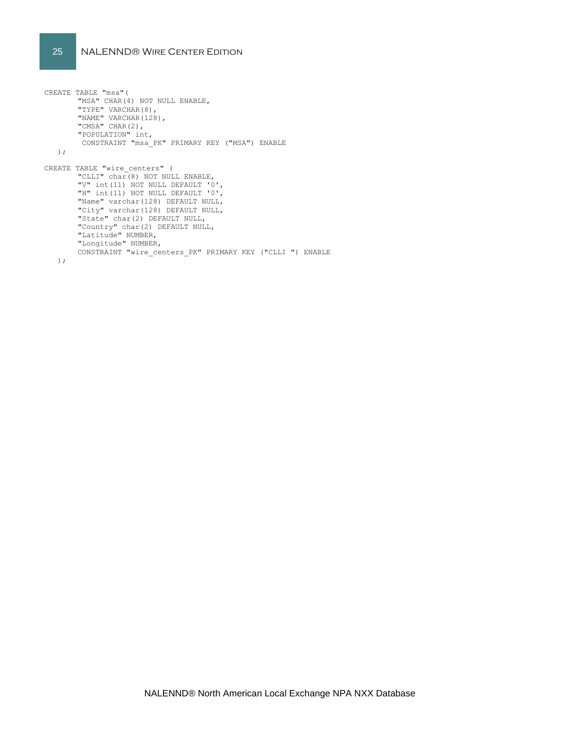```
CREATE TABLE "msa"(
       "MSA" CHAR(4) NOT NULL ENABLE,
      "TYPE" VARCHAR(8),
       "NAME" VARCHAR(128),
       "CMSA" CHAR(2),
       "POPULATION" int,
       CONSTRAINT "msa_PK" PRIMARY KEY ("MSA") ENABLE
   );
CREATE TABLE "wire_centers" (
       "CLLI" char(8) NOT NULL ENABLE,
       "V" int(11) NOT NULL DEFAULT '0',
       "H" int(11) NOT NULL DEFAULT '0',
       "Name" varchar(128) DEFAULT NULL,
       "City" varchar(128) DEFAULT NULL,
       "State" char(2) DEFAULT NULL,
       "Country" char(2) DEFAULT NULL,
        "Latitude" NUMBER,
        "Longitude" NUMBER,
        CONSTRAINT "wire_centers_PK" PRIMARY KEY ("CLLI ") ENABLE
    );
```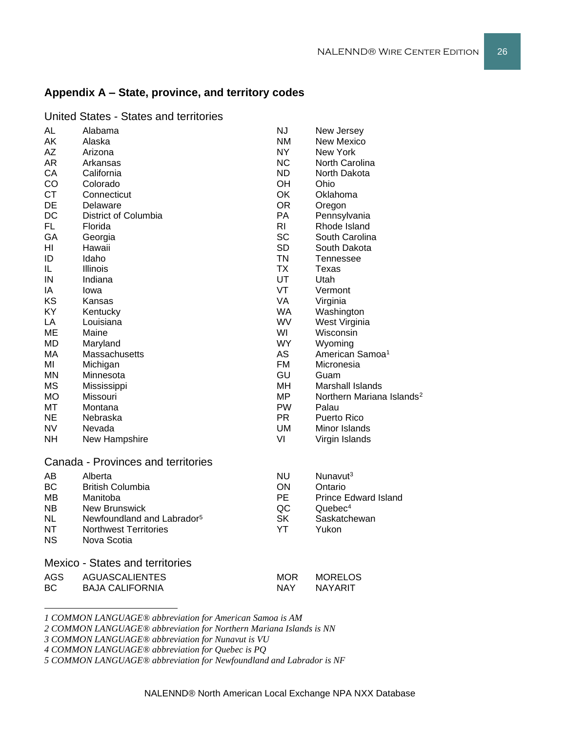# **Appendix A – State, province, and territory codes**

| AL                                     | Alabama                                | <b>NJ</b>      | New Jersey                            |  |
|----------------------------------------|----------------------------------------|----------------|---------------------------------------|--|
| AK                                     | Alaska                                 | <b>NM</b>      | New Mexico                            |  |
| AΖ                                     | Arizona                                | <b>NY</b>      | New York                              |  |
| AR                                     | Arkansas                               | <b>NC</b>      | North Carolina                        |  |
| CA                                     | California                             | <b>ND</b>      | North Dakota                          |  |
| CO                                     | Colorado                               | OH.            | Ohio                                  |  |
| <b>CT</b>                              | Connecticut                            | OK             | Oklahoma                              |  |
| DE                                     | Delaware                               | <b>OR</b>      | Oregon                                |  |
| DC                                     | District of Columbia                   | PA             | Pennsylvania                          |  |
| <b>FL</b>                              | Florida                                | R <sub>l</sub> | Rhode Island                          |  |
| GА                                     | Georgia                                | <b>SC</b>      | South Carolina                        |  |
| HI                                     | Hawaii                                 | <b>SD</b>      | South Dakota                          |  |
| ID                                     | Idaho                                  | <b>TN</b>      | Tennessee                             |  |
| IL.                                    | Illinois                               | <b>TX</b>      | Texas                                 |  |
| IN                                     | Indiana                                | UT             | Utah                                  |  |
| IA                                     | lowa                                   | VT             | Vermont                               |  |
| KS                                     | Kansas                                 | VA             | Virginia                              |  |
| KY                                     | Kentucky                               | <b>WA</b>      | Washington                            |  |
| LA                                     | Louisiana                              | WV             | West Virginia                         |  |
| <b>ME</b>                              | Maine                                  | WI             | Wisconsin                             |  |
| MD                                     | Maryland                               | WY             | Wyoming                               |  |
| МA                                     | Massachusetts                          | <b>AS</b>      | American Samoa <sup>1</sup>           |  |
| MI                                     | Michigan                               | <b>FM</b>      | Micronesia                            |  |
| MN.                                    | Minnesota                              | GU             | Guam                                  |  |
| <b>MS</b>                              | Mississippi                            | MH             | <b>Marshall Islands</b>               |  |
| МO                                     | Missouri                               | MP             | Northern Mariana Islands <sup>2</sup> |  |
| <b>MT</b>                              | Montana                                | PW             | Palau                                 |  |
| <b>NE</b>                              | Nebraska                               | <b>PR</b>      | <b>Puerto Rico</b>                    |  |
| NV                                     | Nevada                                 | UM             | Minor Islands                         |  |
| NΗ                                     | New Hampshire                          | VI             | Virgin Islands                        |  |
|                                        |                                        |                |                                       |  |
|                                        | Canada - Provinces and territories     |                |                                       |  |
| AВ                                     | Alberta                                | <b>NU</b>      | Nunavut <sup>3</sup>                  |  |
| <b>BC</b>                              | <b>British Columbia</b>                | ON             | Ontario                               |  |
| MВ                                     | Manitoba                               | PE.            | <b>Prince Edward Island</b>           |  |
| NB.                                    | <b>New Brunswick</b>                   | QC             | Quebec <sup>4</sup>                   |  |
| NL                                     | Newfoundland and Labrador <sup>5</sup> | <b>SK</b>      | Saskatchewan                          |  |
| <b>NT</b>                              | <b>Northwest Territories</b>           | YT             | Yukon                                 |  |
| NS.                                    | Nova Scotia                            |                |                                       |  |
|                                        |                                        |                |                                       |  |
| <b>Mexico - States and territories</b> |                                        |                |                                       |  |
| <b>AGS</b>                             | <b>AGUASCALIENTES</b>                  | <b>MOR</b>     | <b>MORELOS</b>                        |  |
| ВC                                     | <b>BAJA CALIFORNIA</b>                 | <b>NAY</b>     | <b>NAYARIT</b>                        |  |
|                                        |                                        |                |                                       |  |

United States - States and territories

*1 COMMON LANGUAGE® abbreviation for American Samoa is AM*

*2 COMMON LANGUAGE® abbreviation for Northern Mariana Islands is NN*

*3 COMMON LANGUAGE® abbreviation for Nunavut is VU*

*4 COMMON LANGUAGE® abbreviation for Quebec is PQ*

*5 COMMON LANGUAGE® abbreviation for Newfoundland and Labrador is NF*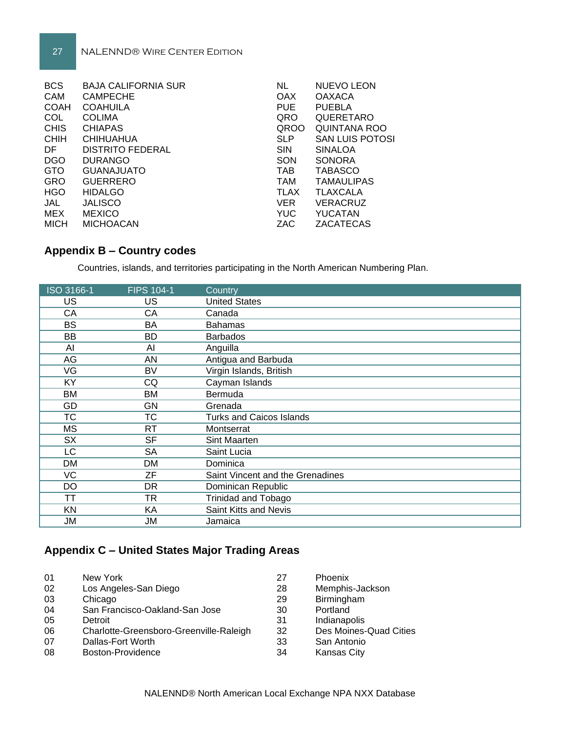| <b>BCS</b>  | <b>BAJA CALIFORNIA SUR</b> | <b>NL</b>   | <b>NUEVO LEON</b>      |
|-------------|----------------------------|-------------|------------------------|
| CAM         | <b>CAMPECHE</b>            | <b>OAX</b>  | <b>OAXACA</b>          |
| <b>COAH</b> | <b>COAHUILA</b>            | <b>PUE</b>  | <b>PUEBLA</b>          |
| COL         | <b>COLIMA</b>              | QRO         | QUERETARO              |
| <b>CHIS</b> | <b>CHIAPAS</b>             | <b>QROO</b> | <b>QUINTANA ROO</b>    |
| <b>CHIH</b> | <b>CHIHUAHUA</b>           | <b>SLP</b>  | <b>SAN LUIS POTOSI</b> |
| DF.         | DISTRITO FEDERAL           | <b>SIN</b>  | <b>SINALOA</b>         |
| <b>DGO</b>  | <b>DURANGO</b>             | SON         | <b>SONORA</b>          |
| <b>GTO</b>  | <b>GUANAJUATO</b>          | <b>TAB</b>  | <b>TABASCO</b>         |
| <b>GRO</b>  | <b>GUERRERO</b>            | <b>TAM</b>  | <b>TAMAULIPAS</b>      |
| <b>HGO</b>  | <b>HIDALGO</b>             | <b>TLAX</b> | <b>TLAXCALA</b>        |
| <b>JAL</b>  | <b>JALISCO</b>             | <b>VER</b>  | <b>VERACRUZ</b>        |
| MEX         | <b>MEXICO</b>              | YUC.        | YUCATAN                |
| <b>MICH</b> | <b>MICHOACAN</b>           | ZAC         | ZACATECAS              |

# **Appendix B – Country codes**

Countries, islands, and territories participating in the North American Numbering Plan.

| ISO 3166-1 | <b>FIPS 104-1</b> | Country                          |
|------------|-------------------|----------------------------------|
| US.        | US                | <b>United States</b>             |
| CA         | CA                | Canada                           |
| <b>BS</b>  | BA                | <b>Bahamas</b>                   |
| <b>BB</b>  | BD                | <b>Barbados</b>                  |
| AI         | AI                | Anguilla                         |
| AG         | AN                | Antigua and Barbuda              |
| VG         | BV                | Virgin Islands, British          |
| KY         | CQ                | Cayman Islands                   |
| <b>BM</b>  | <b>BM</b>         | Bermuda                          |
| GD         | GN                | Grenada                          |
| <b>TC</b>  | <b>TC</b>         | <b>Turks and Caicos Islands</b>  |
| МS         | RT.               | Montserrat                       |
| <b>SX</b>  | <b>SF</b>         | Sint Maarten                     |
| LC         | <b>SA</b>         | Saint Lucia                      |
| DM         | DM                | Dominica                         |
| VC         | ZF                | Saint Vincent and the Grenadines |
| DO         | <b>DR</b>         | Dominican Republic               |
| ТT         | TR.               | <b>Trinidad and Tobago</b>       |
| KN.        | ΚA                | Saint Kitts and Nevis            |
| JM         | JM                | Jamaica                          |

# **Appendix C – United States Major Trading Areas**

| 01 | New York                                | 27 | Phoenix                |
|----|-----------------------------------------|----|------------------------|
| 02 | Los Angeles-San Diego                   | 28 | Memphis-Jackson        |
| 03 | Chicago                                 | 29 | Birmingham             |
| 04 | San Francisco-Oakland-San Jose          | 30 | Portland               |
| 05 | Detroit                                 | 31 | Indianapolis           |
| 06 | Charlotte-Greensboro-Greenville-Raleigh | 32 | Des Moines-Quad Cities |
| 07 | Dallas-Fort Worth                       | 33 | San Antonio            |
| 08 | Boston-Providence                       | 34 | <b>Kansas City</b>     |